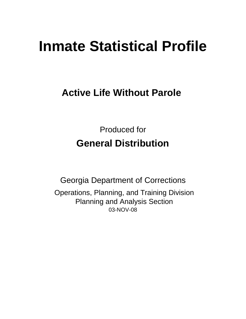# **Inmate Statistical Profile**

# **Active Life Without Parole**

Produced for **General Distribution**

03-NOV-08 Georgia Department of Corrections Operations, Planning, and Training Division Planning and Analysis Section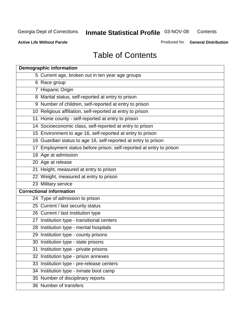**Contents** 

**Active Life Without Parole** 

Produced for **General Distribution**

# Table of Contents

| <b>Demographic information</b>                                       |
|----------------------------------------------------------------------|
| 5 Current age, broken out in ten year age groups                     |
| 6 Race group                                                         |
| 7 Hispanic Origin                                                    |
| 8 Marital status, self-reported at entry to prison                   |
| 9 Number of children, self-reported at entry to prison               |
| 10 Religious affiliation, self-reported at entry to prison           |
| 11 Home county - self-reported at entry to prison                    |
| 14 Socioeconomic class, self-reported at entry to prison             |
| 15 Environment to age 16, self-reported at entry to prison           |
| 16 Guardian status to age 16, self-reported at entry to prison       |
| 17 Employment status before prison, self-reported at entry to prison |
| 18 Age at admission                                                  |
| 20 Age at release                                                    |
| 21 Height, measured at entry to prison                               |
| 22 Weight, measured at entry to prison                               |
| 23 Military service                                                  |
| <b>Correctional information</b>                                      |
| 24 Type of admission to prison                                       |
| 25 Current / last security status                                    |
| 26 Current / last institution type                                   |
| 27 Institution type - transitional centers                           |
| 28 Institution type - mental hospitals                               |
| 29 Institution type - county prisons                                 |
| 30 Institution type - state prisons                                  |
| 31 Institution type - private prisons                                |
| 32 Institution type - prison annexes                                 |
| 33 Institution type - pre-release centers                            |
| 34 Institution type - inmate boot camp                               |
| 35 Number of disciplinary reports                                    |
| 36 Number of transfers                                               |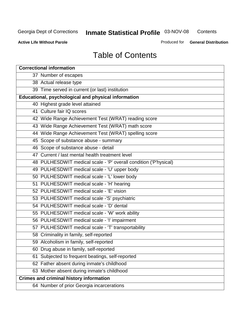**Contents** 

**Active Life Without Parole** 

Produced for **General Distribution**

# Table of Contents

| <b>Correctional information</b>                                  |
|------------------------------------------------------------------|
| 37 Number of escapes                                             |
| 38 Actual release type                                           |
| 39 Time served in current (or last) institution                  |
| Educational, psychological and physical information              |
| 40 Highest grade level attained                                  |
| 41 Culture fair IQ scores                                        |
| 42 Wide Range Achievement Test (WRAT) reading score              |
| 43 Wide Range Achievement Test (WRAT) math score                 |
| 44 Wide Range Achievement Test (WRAT) spelling score             |
| 45 Scope of substance abuse - summary                            |
| 46 Scope of substance abuse - detail                             |
| 47 Current / last mental health treatment level                  |
| 48 PULHESDWIT medical scale - 'P' overall condition ('P'hysical) |
| 49 PULHESDWIT medical scale - 'U' upper body                     |
| 50 PULHESDWIT medical scale - 'L' lower body                     |
| 51 PULHESDWIT medical scale - 'H' hearing                        |
| 52 PULHESDWIT medical scale - 'E' vision                         |
| 53 PULHESDWIT medical scale -'S' psychiatric                     |
| 54 PULHESDWIT medical scale - 'D' dental                         |
| 55 PULHESDWIT medical scale - 'W' work ability                   |
| 56 PULHESDWIT medical scale - 'I' impairment                     |
| 57 PULHESDWIT medical scale - 'T' transportability               |
| 58 Criminality in family, self-reported                          |
| 59 Alcoholism in family, self-reported                           |
| 60 Drug abuse in family, self-reported                           |
| Subjected to frequent beatings, self-reported<br>61              |
| 62 Father absent during inmate's childhood                       |
| 63 Mother absent during inmate's childhood                       |
| <b>Crimes and criminal history information</b>                   |
| 64 Number of prior Georgia incarcerations                        |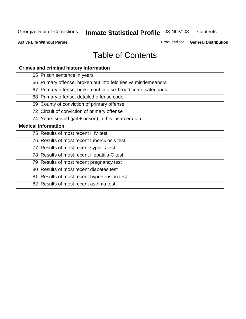**Contents** 

**Active Life Without Parole** 

Produced for **General Distribution**

# Table of Contents

| <b>Crimes and criminal history information</b>                 |
|----------------------------------------------------------------|
| 65 Prison sentence in years                                    |
| 66 Primary offense, broken out into felonies vs misdemeanors   |
| 67 Primary offense, broken out into six broad crime categories |
| 68 Primary offense, detailed offense code                      |
| 69 County of conviction of primary offense                     |
| 72 Circuit of conviction of primary offense                    |
| 74 Years served (jail + prison) in this incarceration          |
| <b>Medical information</b>                                     |
| 75 Results of most recent HIV test                             |
| 76 Results of most recent tuberculosis test                    |
| 77 Results of most recent syphilis test                        |
| 78 Results of most recent Hepatitis-C test                     |
| 79 Results of most recent pregnancy test                       |
| 80 Results of most recent diabetes test                        |
| 81 Results of most recent hypertension test                    |
| 82 Results of most recent asthma test                          |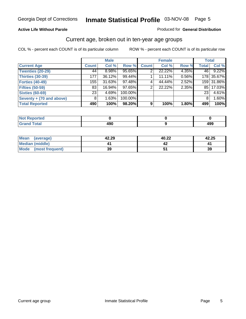#### **Active Life Without Parole**

#### Produced for **General Distribution**

#### Current age, broken out in ten-year age groups

|                          |              | <b>Male</b> |         |              | <b>Female</b> |       | <b>Total</b> |            |
|--------------------------|--------------|-------------|---------|--------------|---------------|-------|--------------|------------|
| <b>Current Age</b>       | <b>Count</b> | Col %       | Row %   | <b>Count</b> | Col %         | Row % | <b>Total</b> | Col %      |
| <b>Twenties (20-29)</b>  | 44           | $8.98\%$    | 95.65%  |              | 22.22%        | 4.35% | 46           | 9.22%      |
| <b>Thirties (30-39)</b>  | 177          | 36.12%      | 99.44%  |              | 11.11%        | 0.56% |              | 178 35.67% |
| <b>Forties (40-49)</b>   | 155          | 31.63%      | 97.48%  | 4            | 44.44%        | 2.52% |              | 159 31.86% |
| <b>Fifties (50-59)</b>   | 83           | 16.94%      | 97.65%  | 2            | 22.22%        | 2.35% | 851          | 17.03%     |
| <b>Sixties (60-69)</b>   | 231          | 4.69%       | 100.00% |              |               |       | 23           | 4.61%      |
| Seventy + (70 and above) | 8            | 1.63%       | 100.00% |              |               |       | 8            | 1.60%      |
| <b>Total Reported</b>    | 490          | 100%        | 98.20%  | 9            | 100%          | 1.80% | 499          | 100%       |

| <b>NOT Reported</b> |     |     |
|---------------------|-----|-----|
| <b>Utal</b>         | "^^ | "^^ |
| $\mathbf{v}$ and    | .JV | 493 |

| Mean<br>(average)       | 42.29 | 40.22 | 42.25 |
|-------------------------|-------|-------|-------|
| Median (middle)         |       |       |       |
| Mode<br>(most frequent) | 39    |       | 39    |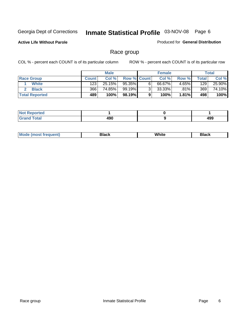**Active Life Without Parole** 

Produced for **General Distribution**

#### Race group

|                       |              | <b>Male</b> |                    | <b>Female</b> |          |       | Total  |
|-----------------------|--------------|-------------|--------------------|---------------|----------|-------|--------|
| <b>Race Group</b>     | <b>Count</b> | Col %       | <b>Row % Count</b> | Col %         | Row %    | Total | Col %  |
| <b>White</b>          | 123          | $25.15\%$   | 95.35%             | 66.67%        | 4.65%    | 129   | 25.90% |
| <b>Black</b>          | 366          | 74.85%      | 99.19%             | 33.33%        | .81%     | 369   | 74.10% |
| <b>Total Reported</b> | 489          | 100%        | 98.19%I            | 100%          | $1.81\%$ | 498   | 100%   |

| <b>Reported</b><br>.<br>. <b>.</b> . |     |     |
|--------------------------------------|-----|-----|
| <b>Cotal</b><br>_____                | 490 | 499 |

| $^1$ Mo. | Rlack | White | 3lack |
|----------|-------|-------|-------|
| .        |       |       |       |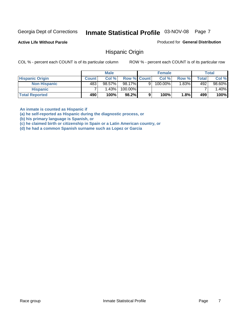**Active Life Without Parole** 

Produced for **General Distribution**

#### Hispanic Origin

COL % - percent each COUNT is of its particular column ROW % - percent each COUNT is of its particular row

|                        |              | <b>Male</b> |                    |   | <b>Female</b> |       |       | <b>Total</b> |
|------------------------|--------------|-------------|--------------------|---|---------------|-------|-------|--------------|
| <b>Hispanic Origin</b> | <b>Count</b> | Col %       | <b>Row % Count</b> |   | Col %         | Row % | Total | Col %        |
| <b>Non Hispanic</b>    | 483          | 98.57%      | 98.17%             | 9 | $100.00\%$    | 1.83% | 492   | 98.60%       |
| <b>Hispanic</b>        |              | 1.43%       | 100.00%            |   |               |       |       | 1.40%        |
| <b>Total Reported</b>  | 490          | 100%        | 98.2%              | 9 | 100%          | 1.8%  | 499   | 100%         |

**An inmate is counted as Hispanic if** 

**(a) he self-reported as Hispanic during the diagnostic process, or** 

**(b) his primary language is Spanish, or** 

**(c) he claimed birth or citizenship in Spain or a Latin American country, or** 

**(d) he had a common Spanish surname such as Lopez or Garcia**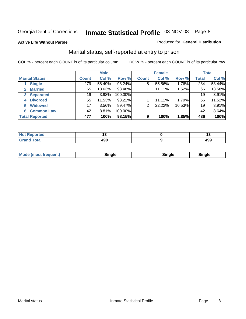#### **Active Life Without Parole**

#### Produced for **General Distribution**

#### Marital status, self-reported at entry to prison

|                                | <b>Male</b>  |          |         | <b>Female</b> |        |        | <b>Total</b> |        |
|--------------------------------|--------------|----------|---------|---------------|--------|--------|--------------|--------|
| <b>Marital Status</b>          | <b>Count</b> | Col %    | Row %   | <b>Count</b>  | Col %  | Row %  | <b>Total</b> | Col %  |
| <b>Single</b>                  | 279          | 58.49%   | 98.24%  | 5             | 55.56% | 1.76%  | 284          | 58.44% |
| <b>Married</b><br>$\mathbf{2}$ | 65           | 13.63%   | 98.48%  |               | 11.11% | 1.52%  | 66           | 13.58% |
| <b>Separated</b><br>3          | 19           | 3.98%    | 100.00% |               |        |        | 19           | 3.91%  |
| <b>Divorced</b><br>4           | 55           | 11.53%   | 98.21%  |               | 11.11% | 1.79%  | 56           | 11.52% |
| <b>Widowed</b><br>5            | 17           | $3.56\%$ | 89.47%  | 2             | 22.22% | 10.53% | 19           | 3.91%  |
| <b>Common Law</b><br>6         | 42           | 8.81%    | 100.00% |               |        |        | 42           | 8.64%  |
| <b>Total Reported</b>          | 477          | 100%     | 98.15%  | 9             | 100%   | 1.85%  | 486          | 100%   |

|                | . .        |
|----------------|------------|
| ,<br>łЈl<br>__ | "^^<br>45- |

| <b>Mode (most frequent)</b><br>Sinale<br>™ale |
|-----------------------------------------------|
|-----------------------------------------------|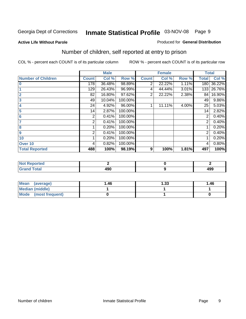#### **Active Life Without Parole**

#### Produced for **General Distribution**

### Number of children, self reported at entry to prison

|                           |                | <b>Male</b> |         |              | <b>Female</b> |       | <b>Total</b> |        |
|---------------------------|----------------|-------------|---------|--------------|---------------|-------|--------------|--------|
| <b>Number of Children</b> | <b>Count</b>   | Col %       | Row %   | <b>Count</b> | Col %         | Row % | <b>Total</b> | Col %  |
| $\overline{\mathbf{0}}$   | 178            | 36.48%      | 98.89%  | 2            | 22.22%        | 1.11% | 180          | 36.22% |
|                           | 129            | 26.43%      | 96.99%  | 4            | 44.44%        | 3.01% | 133          | 26.76% |
| $\overline{2}$            | 82             | 16.80%      | 97.62%  | 2            | 22.22%        | 2.38% | 84           | 16.90% |
| 3                         | 49             | 10.04%      | 100.00% |              |               |       | 49           | 9.86%  |
| 4                         | 24             | 4.92%       | 96.00%  |              | 11.11%        | 4.00% | 25           | 5.03%  |
| 5                         | 14             | 2.87%       | 100.00% |              |               |       | 14           | 2.82%  |
| 6                         | $\overline{2}$ | 0.41%       | 100.00% |              |               |       | 2            | 0.40%  |
|                           | 2              | 0.41%       | 100.00% |              |               |       | 2            | 0.40%  |
| 8                         |                | 0.20%       | 100.00% |              |               |       |              | 0.20%  |
| 9                         | 2              | 0.41%       | 100.00% |              |               |       | 2            | 0.40%  |
| 10                        |                | 0.20%       | 100.00% |              |               |       |              | 0.20%  |
| Over 10                   | 4              | 0.82%       | 100.00% |              |               |       | 4            | 0.80%  |
| <b>Total Reported</b>     | 488            | 100%        | 98.19%  | 9            | 100%          | 1.81% | 497          | 100%   |

| prtea<br>.                      |  |                   |
|---------------------------------|--|-------------------|
| <b>otal</b><br>$\mathbf{v}$ and |  | $\sqrt{2}$<br>499 |

| <b>Mean</b><br>(average) | 1.46 | 1.33 | 1.46 |
|--------------------------|------|------|------|
| <b>Median (middle)</b>   |      |      |      |
| Mode (most frequent)     |      |      |      |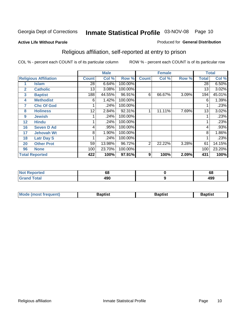#### **Active Life Without Parole**

#### Produced for **General Distribution**

### Religious affiliation, self-reported at entry to prison

|              |                              |              | <b>Male</b> |         |                | <b>Female</b> |       |              | <b>Total</b> |
|--------------|------------------------------|--------------|-------------|---------|----------------|---------------|-------|--------------|--------------|
|              | <b>Religious Affiliation</b> | <b>Count</b> | Col %       | Row %   | <b>Count</b>   | Col %         | Row % | <b>Total</b> | Col %        |
|              | <b>Islam</b>                 | 28           | 6.64%       | 100.00% |                |               |       | 28           | 6.50%        |
| $\mathbf{2}$ | <b>Catholic</b>              | 13           | 3.08%       | 100.00% |                |               |       | 13           | 3.02%        |
| 3            | <b>Baptist</b>               | 188          | 44.55%      | 96.91%  | 6              | 66.67%        | 3.09% | 194          | 45.01%       |
| 4            | <b>Methodist</b>             | 6            | 1.42%       | 100.00% |                |               |       | 6            | 1.39%        |
| 7            | <b>Chc Of God</b>            |              | .24%        | 100.00% |                |               |       |              | .23%         |
| 8            | <b>Holiness</b>              | 12           | 2.84%       | 92.31%  |                | 11.11%        | 7.69% | 13           | 3.02%        |
| 9            | <b>Jewish</b>                |              | .24%        | 100.00% |                |               |       |              | .23%         |
| 12           | <b>Hindu</b>                 |              | .24%        | 100.00% |                |               |       |              | .23%         |
| 16           | <b>Seven D Ad</b>            | 4            | .95%        | 100.00% |                |               |       | 4            | .93%         |
| 17           | <b>Jehovah Wt</b>            | 8            | 1.90%       | 100.00% |                |               |       | 8            | 1.86%        |
| 18           | <b>Latr Day S</b>            |              | .24%        | 100.00% |                |               |       |              | .23%         |
| 20           | <b>Other Prot</b>            | 59           | 13.98%      | 96.72%  | $\overline{2}$ | 22.22%        | 3.28% | 61           | 14.15%       |
| 96           | <b>None</b>                  | 100          | 23.70%      | 100.00% |                |               |       | 100          | 23.20%       |
|              | <b>Total Reported</b>        | 422          | 100%        | 97.91%  | 9              | 100%          | 2.09% | 431          | 100%         |

| Reported<br><b>NOT</b><br>$\sim$ | 68         | c<br>oo |
|----------------------------------|------------|---------|
| <b>otal</b><br>$\mathbf{v}$ and  | ۸۵Λ<br>4JU | 499     |

| <b>Mode (most frequent)</b> | Baptist | Baptist | Baptist |
|-----------------------------|---------|---------|---------|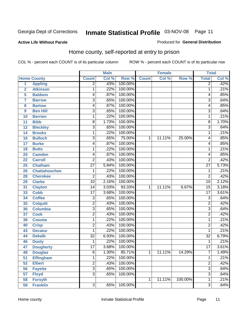#### **Active Life Without Parole**

#### Produced for **General Distribution**

#### Home county, self-reported at entry to prison

|                |                      |                 | <b>Male</b> |         |              | <b>Female</b> |         | <b>Total</b>              |       |
|----------------|----------------------|-----------------|-------------|---------|--------------|---------------|---------|---------------------------|-------|
|                | <b>Home County</b>   | <b>Count</b>    | Col %       | Row %   | <b>Count</b> | Col %         | Row %   | <b>Total</b>              | Col % |
| $\overline{1}$ | <b>Appling</b>       | $\overline{2}$  | .43%        | 100.00% |              |               |         | $\overline{2}$            | .42%  |
| $\overline{2}$ | <b>Atkinson</b>      | 1               | .22%        | 100.00% |              |               |         | 1                         | .21%  |
| 5              | <b>Baldwin</b>       | 4               | .87%        | 100.00% |              |               |         | 4                         | .85%  |
| 7              | <b>Barrow</b>        | 3               | .65%        | 100.00% |              |               |         | $\overline{3}$            | .64%  |
| 8              | <b>Bartow</b>        | 4               | .87%        | 100.00% |              |               |         | 4                         | .85%  |
| 9              | <b>Ben Hill</b>      | $\overline{3}$  | .65%        | 100.00% |              |               |         | $\overline{3}$            | .64%  |
| 10             | <b>Berrien</b>       | 1               | .22%        | 100.00% |              |               |         | 1                         | .21%  |
| 11             | <b>Bibb</b>          | 8               | 1.73%       | 100.00% |              |               |         | 8                         | 1.70% |
| 12             | <b>Bleckley</b>      | 3               | .65%        | 100.00% |              |               |         | $\overline{3}$            | .64%  |
| 14             | <b>Brooks</b>        | 1               | .22%        | 100.00% |              |               |         | 1                         | .21%  |
| 16             | <b>Bulloch</b>       | $\overline{3}$  | .65%        | 75.00%  | 1            | 11.11%        | 25.00%  | 4                         | .85%  |
| 17             | <b>Burke</b>         | 4               | .87%        | 100.00% |              |               |         | 4                         | .85%  |
| 18             | <b>Butts</b>         | 1               | .22%        | 100.00% |              |               |         | 1                         | .21%  |
| 20             | <b>Camden</b>        | 4               | .87%        | 100.00% |              |               |         | 4                         | .85%  |
| 22             | <b>Carroll</b>       | $\overline{2}$  | .43%        | 100.00% |              |               |         | $\overline{2}$            | .42%  |
| 25             | <b>Chatham</b>       | $\overline{27}$ | 5.84%       | 100.00% |              |               |         | $\overline{27}$           | 5.73% |
| 26             | <b>Chattahoochee</b> | 1               | .22%        | 100.00% |              |               |         | 1                         | .21%  |
| 28             | <b>Cherokee</b>      | $\overline{2}$  | .43%        | 100.00% |              |               |         | $\overline{2}$            | .42%  |
| 29             | <b>Clarke</b>        | $\overline{10}$ | 2.16%       | 100.00% |              |               |         | $\overline{10}$           | 2.12% |
| 31             | <b>Clayton</b>       | 14              | 3.03%       | 93.33%  | 1            | 11.11%        | 6.67%   | $\overline{15}$           | 3.18% |
| 33             | <b>Cobb</b>          | $\overline{17}$ | 3.68%       | 100.00% |              |               |         | $\overline{17}$           | 3.61% |
| 34             | <b>Coffee</b>        | 3               | .65%        | 100.00% |              |               |         | $\overline{3}$            | .64%  |
| 35             | <b>Colquitt</b>      | $\overline{2}$  | .43%        | 100.00% |              |               |         | $\overline{2}$            | .42%  |
| 36             | <b>Columbia</b>      | 3               | .65%        | 100.00% |              |               |         | $\overline{3}$            | .64%  |
| 37             | <b>Cook</b>          | $\overline{2}$  | .43%        | 100.00% |              |               |         | $\overline{2}$            | .42%  |
| 38             | <b>Coweta</b>        | 1               | .22%        | 100.00% |              |               |         | 1                         | .21%  |
| 40             | <b>Crisp</b>         | $\overline{2}$  | .43%        | 100.00% |              |               |         | $\overline{2}$            | .42%  |
| 43             | <b>Decatur</b>       | 1               | .22%        | 100.00% |              |               |         | 1                         | .21%  |
| 44             | <b>Dekalb</b>        | $\overline{32}$ | 6.93%       | 100.00% |              |               |         | $\overline{32}$           | 6.79% |
| 46             | <b>Dooly</b>         | 1               | .22%        | 100.00% |              |               |         | 1                         | .21%  |
| 47             | <b>Dougherty</b>     | $\overline{17}$ | 3.68%       | 100.00% |              |               |         | 17                        | 3.61% |
| 48             | <b>Douglas</b>       | 6               | 1.30%       | 85.71%  | 1            | 11.11%        | 14.29%  | 7                         | 1.49% |
| 51             | <b>Effingham</b>     | 1               | .22%        | 100.00% |              |               |         | 1                         | .21%  |
| 52             | <b>Elbert</b>        | $\overline{2}$  | .43%        | 100.00% |              |               |         | $\overline{2}$            | .42%  |
| 56             | <b>Fayette</b>       | $\overline{3}$  | .65%        | 100.00% |              |               |         | $\overline{3}$            | .64%  |
| 57             | <b>Floyd</b>         | $\overline{3}$  | .65%        | 100.00% |              |               |         | $\overline{\overline{3}}$ | .64%  |
| 58             | <b>Forsyth</b>       |                 |             |         | 1            | 11.11%        | 100.00% | 1                         | .21%  |
| 59             | <b>Franklin</b>      | $\overline{3}$  | .65%        | 100.00% |              |               |         | $\overline{3}$            | .64%  |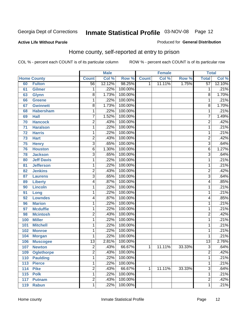#### **Active Life Without Parole**

#### Produced for **General Distribution**

#### Home county, self-reported at entry to prison

|                 |                    |                 | <b>Male</b> |         |              | <b>Female</b> |        | <b>Total</b>    |        |
|-----------------|--------------------|-----------------|-------------|---------|--------------|---------------|--------|-----------------|--------|
|                 | <b>Home County</b> | <b>Count</b>    | Col %       | Row %   | <b>Count</b> | Col %         | Row %  | <b>Total</b>    | Col %  |
| 60              | <b>Fulton</b>      | 56              | 12.12%      | 98.25%  | 1            | 11.11%        | 1.75%  | $\overline{57}$ | 12.10% |
| 61              | Gilmer             | 1               | .22%        | 100.00% |              |               |        | 1               | .21%   |
| 63              | <b>Glynn</b>       | $\overline{8}$  | 1.73%       | 100.00% |              |               |        | 8               | 1.70%  |
| 66              | <b>Greene</b>      | 1               | .22%        | 100.00% |              |               |        | 1               | .21%   |
| 67              | <b>Gwinnett</b>    | $\overline{8}$  | 1.73%       | 100.00% |              |               |        | 8               | 1.70%  |
| 68              | <b>Habersham</b>   | $\mathbf{1}$    | .22%        | 100.00% |              |               |        | 1               | .21%   |
| 69              | <b>Hall</b>        | 7               | 1.52%       | 100.00% |              |               |        | $\overline{7}$  | 1.49%  |
| 70              | <b>Hancock</b>     | $\overline{2}$  | .43%        | 100.00% |              |               |        | $\overline{2}$  | .42%   |
| $\overline{71}$ | <b>Haralson</b>    | 1               | .22%        | 100.00% |              |               |        | 1               | .21%   |
| 72              | <b>Harris</b>      | 1               | .22%        | 100.00% |              |               |        | 1               | .21%   |
| 73              | <b>Hart</b>        | 2               | .43%        | 100.00% |              |               |        | $\overline{2}$  | .42%   |
| 75              | <b>Henry</b>       | $\overline{3}$  | .65%        | 100.00% |              |               |        | $\overline{3}$  | .64%   |
| 76              | <b>Houston</b>     | 6               | 1.30%       | 100.00% |              |               |        | 6               | 1.27%  |
| 78              | <b>Jackson</b>     | $\overline{3}$  | .65%        | 100.00% |              |               |        | $\overline{3}$  | .64%   |
| 80              | <b>Jeff Davis</b>  | $\mathbf{1}$    | .22%        | 100.00% |              |               |        | 1               | .21%   |
| 81              | <b>Jefferson</b>   | 1               | .22%        | 100.00% |              |               |        | 1               | .21%   |
| 82              | <b>Jenkins</b>     | 2               | .43%        | 100.00% |              |               |        | $\overline{c}$  | .42%   |
| 87              | <b>Laurens</b>     | $\overline{3}$  | .65%        | 100.00% |              |               |        | $\overline{3}$  | .64%   |
| 89              | <b>Liberty</b>     | 4               | .87%        | 100.00% |              |               |        | 4               | .85%   |
| 90              | <b>Lincoln</b>     | 1               | .22%        | 100.00% |              |               |        | 1               | .21%   |
| 91              | Long               | $\mathbf{1}$    | .22%        | 100.00% |              |               |        | 1               | .21%   |
| 92              | <b>Lowndes</b>     | 4               | .87%        | 100.00% |              |               |        | 4               | .85%   |
| 96              | <b>Marion</b>      | 1               | .22%        | 100.00% |              |               |        | 1               | .21%   |
| 97              | <b>Mcduffie</b>    | 1               | .22%        | 100.00% |              |               |        | 1               | .21%   |
| 98              | <b>Mcintosh</b>    | 2               | .43%        | 100.00% |              |               |        | $\overline{2}$  | .42%   |
| 100             | <b>Miller</b>      | 1               | .22%        | 100.00% |              |               |        | 1               | .21%   |
| 101             | <b>Mitchell</b>    | 1               | .22%        | 100.00% |              |               |        | 1               | .21%   |
| 102             | <b>Monroe</b>      | 1               | .22%        | 100.00% |              |               |        | 1               | .21%   |
| 104             | <b>Morgan</b>      | 1               | .22%        | 100.00% |              |               |        | 1               | .21%   |
| 106             | <b>Muscogee</b>    | $\overline{13}$ | 2.81%       | 100.00% |              |               |        | $\overline{13}$ | 2.76%  |
| 107             | <b>Newton</b>      | $\overline{2}$  | .43%        | 66.67%  | 1            | 11.11%        | 33.33% | $\overline{3}$  | .64%   |
| 109             | <b>Oglethorpe</b>  | 2               | .43%        | 100.00% |              |               |        | 2               | .42%   |
| 110             | <b>Paulding</b>    | $\overline{1}$  | .22%        | 100.00% |              |               |        | $\overline{1}$  | .21%   |
| 113             | <b>Pierce</b>      | $\mathbf{1}$    | .22%        | 100.00% |              |               |        | 1               | .21%   |
| 114             | <b>Pike</b>        | $\overline{2}$  | .43%        | 66.67%  | 1            | 11.11%        | 33.33% | $\overline{3}$  | .64%   |
| 115             | <b>Polk</b>        | 1               | .22%        | 100.00% |              |               |        | 1               | .21%   |
| 117             | <b>Putnam</b>      | $\overline{2}$  | .43%        | 100.00% |              |               |        | $\overline{2}$  | .42%   |
| 119             | <b>Rabun</b>       | 1               | .22%        | 100.00% |              |               |        | 1               | .21%   |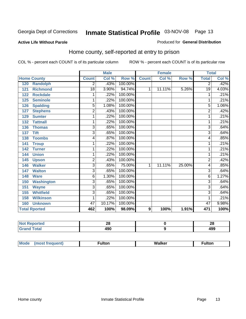#### **Active Life Without Parole**

#### Produced for **General Distribution**

#### Home county, self-reported at entry to prison

|                      |                   |                | <b>Male</b> |         |              | <b>Female</b> |        | <b>Total</b>   |       |
|----------------------|-------------------|----------------|-------------|---------|--------------|---------------|--------|----------------|-------|
| <b>Home County</b>   |                   | <b>Count</b>   | Col %       | Row %   | <b>Count</b> | Col %         | Row %  | <b>Total</b>   | Col % |
| 120                  | <b>Randolph</b>   | 2              | .43%        | 100.00% |              |               |        | $\overline{2}$ | .42%  |
| 121                  | <b>Richmond</b>   | 18             | 3.90%       | 94.74%  | 1            | 11.11%        | 5.26%  | 19             | 4.03% |
| 122                  | <b>Rockdale</b>   | 1              | .22%        | 100.00% |              |               |        | 1              | .21%  |
| 125                  | <b>Seminole</b>   | 1              | .22%        | 100.00% |              |               |        | 1              | .21%  |
| 126                  | <b>Spalding</b>   | 5              | 1.08%       | 100.00% |              |               |        | 5              | 1.06% |
| 127                  | <b>Stephens</b>   | 2              | .43%        | 100.00% |              |               |        | $\overline{c}$ | .42%  |
| 129                  | <b>Sumter</b>     | 1              | .22%        | 100.00% |              |               |        |                | .21%  |
| 132                  | <b>Tattnall</b>   | 1              | .22%        | 100.00% |              |               |        |                | .21%  |
| 136                  | <b>Thomas</b>     | 3              | .65%        | 100.00% |              |               |        | 3              | .64%  |
| 137                  | <b>Tift</b>       | $\overline{3}$ | .65%        | 100.00% |              |               |        | $\overline{3}$ | .64%  |
| 138                  | <b>Toombs</b>     | 4              | .87%        | 100.00% |              |               |        | 4              | .85%  |
| 141                  | <b>Troup</b>      | 1              | .22%        | 100.00% |              |               |        | 1              | .21%  |
| 142                  | <b>Turner</b>     | 1              | .22%        | 100.00% |              |               |        | 1              | .21%  |
| 144                  | <b>Union</b>      | 1              | .22%        | 100.00% |              |               |        |                | .21%  |
| 145                  | <b>Upson</b>      | $\overline{2}$ | .43%        | 100.00% |              |               |        | 2              | .42%  |
| 146                  | <b>Walker</b>     | 3              | .65%        | 75.00%  | 1            | 11.11%        | 25.00% | 4              | .85%  |
| 147                  | <b>Walton</b>     | 3              | .65%        | 100.00% |              |               |        | 3              | .64%  |
| 148                  | <b>Ware</b>       | 6              | 1.30%       | 100.00% |              |               |        | 6              | 1.27% |
| 150                  | <b>Washington</b> | 3              | .65%        | 100.00% |              |               |        | 3              | .64%  |
| 151                  | <b>Wayne</b>      | 3              | .65%        | 100.00% |              |               |        | 3              | .64%  |
| 155                  | <b>Whitfield</b>  | $\overline{3}$ | .65%        | 100.00% |              |               |        | 3              | .64%  |
| 158                  | <b>Wilkinson</b>  | 1              | .22%        | 100.00% |              |               |        |                | .21%  |
| 160                  | <b>Unknown</b>    | 47             | 10.17%      | 100.00% |              |               |        | 47             | 9.98% |
| <b>Total Rported</b> |                   | 462            | 100%        | 98.09%  | 9            | 100%          | 1.91%  | 471            | 100%  |

| тео         | ΔU  | ົ<br>ZO |
|-------------|-----|---------|
| <b>otal</b> | 0۵۸ | ៱ດດ     |
| $\sim$ .    | טעו | 493     |

| Mode<br>(most frequent) | ∙ulton | Walker | ∙ulton |
|-------------------------|--------|--------|--------|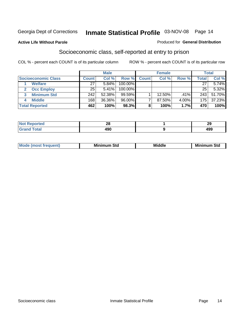#### **Active Life Without Parole**

#### Produced for **General Distribution**

#### Socioeconomic class, self-reported at entry to prison

|                            | <b>Male</b>  |        | <b>Female</b> |              |        | <b>Total</b> |                  |        |
|----------------------------|--------------|--------|---------------|--------------|--------|--------------|------------------|--------|
| <b>Socioeconomic Class</b> | <b>Count</b> | Col %  | Row %         | <b>Count</b> | Col %  | Row %        | <b>Total</b>     | Col %  |
| <b>Welfare</b>             | 27           | 5.84%  | 100.00%       |              |        |              | 27               | 5.74%  |
| <b>Occ Employ</b>          | 25           | 5.41%  | 100.00%       |              |        |              | 25               | 5.32%  |
| <b>Minimum Std</b>         | 242          | 52.38% | 99.59%        |              | 12.50% | .41%         | 243 <sub>1</sub> | 51.70% |
| <b>Middle</b>              | 168          | 36.36% | $96.00\%$     |              | 87.50% | 4.00%        | 175              | 37.23% |
| <b>Total Reported</b>      | 462          | 100%   | 98.3%         |              | 100%   | 1.7%         | 470              | 100%   |

| <b>Contractor</b>     | nr.        | $\overline{\phantom{a}}$ |
|-----------------------|------------|--------------------------|
| TE C                  | Zυ         | $\sim$                   |
| $f \wedge f \wedge f$ | 100<br>4JU | $\sqrt{2}$<br>199        |

| M<br>Mir<br>Mi<br><b>Middle</b><br><b>C</b> ta<br>Sta<br>oτu<br>.<br>the contract of the contract of the contract of the contract of the contract of the contract of the contract of<br>___ |
|---------------------------------------------------------------------------------------------------------------------------------------------------------------------------------------------|
|---------------------------------------------------------------------------------------------------------------------------------------------------------------------------------------------|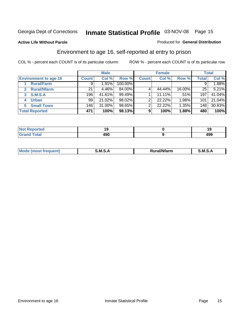#### **Active Life Without Parole**

#### Produced for **General Distribution**

#### Environment to age 16, self-reported at entry to prison

|                                    |              | <b>Male</b> |         |              | <b>Female</b> |        |              | <b>Total</b> |
|------------------------------------|--------------|-------------|---------|--------------|---------------|--------|--------------|--------------|
| <b>Environment to age 16</b>       | <b>Count</b> | Col %       | Row %   | <b>Count</b> | Col %         | Row %  | <b>Total</b> | Col %        |
| <b>Rural/Farm</b>                  | 9            | 1.91%       | 100.00% |              |               |        | 9            | 1.88%        |
| <b>Rural/Nfarm</b><br>$\mathbf{2}$ | 21           | 4.46%       | 84.00%  |              | 44.44%        | 16.00% | 25           | 5.21%        |
| <b>S.M.S.A</b><br>3                | 196          | 41.61%      | 99.49%  |              | 11.11%        | .51%   | 197          | 41.04%       |
| <b>Urban</b><br>4                  | 99           | 21.02%      | 98.02%  |              | 22.22%        | 1.98%  | 101          | 21.04%       |
| <b>Small Town</b><br>5             | 146          | 31.00%      | 98.65%  | ◠            | 22.22%        | 1.35%  | 148          | 30.83%       |
| <b>Total Reported</b>              | 471          | 100%        | 98.13%  | 9            | 100%          | 1.88%  | 480          | 100%         |

| Reported<br><b>Not</b> |     |     |
|------------------------|-----|-----|
| <b>Grand Total</b>     | 490 | 499 |

| Mo<br>requent) | .M.S<br>_____ | ้ Rural/Nfarm | м<br>______ |
|----------------|---------------|---------------|-------------|
|                |               |               |             |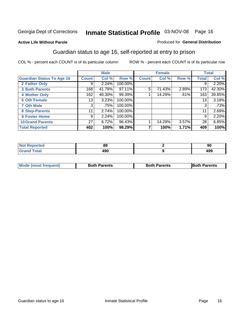#### **Active Life Without Parole**

#### Produced for **General Distribution**

#### Guardian status to age 16, self-reported at entry to prison

|                                  |                 | <b>Male</b> |         |              | <b>Female</b> |       |              | <b>Total</b> |
|----------------------------------|-----------------|-------------|---------|--------------|---------------|-------|--------------|--------------|
| <b>Guardian Status To Age 16</b> | <b>Count</b>    | Col %       | Row %   | <b>Count</b> | Col %         | Row % | <b>Total</b> | Col %        |
| 2 Father Only                    | 9               | 2.24%       | 100.00% |              |               |       | 9            | 2.20%        |
| <b>3 Both Parents</b>            | 168             | 41.79%      | 97.11%  | 5            | 71.43%        | 2.89% | 173          | 42.30%       |
| <b>4 Mother Only</b>             | 162             | 40.30%      | 99.39%  |              | 14.29%        | .61%  | 163          | 39.85%       |
| <b>6 Oth Female</b>              | 13              | 3.23%       | 100.00% |              |               |       | 13           | 3.18%        |
| <b>7 Oth Male</b>                | 3               | .75%        | 100.00% |              |               |       | 3            | .73%         |
| 8 Step-Parents                   | 11              | 2.74%       | 100.00% |              |               |       | 11           | 2.69%        |
| 9 Foster Home                    | 9               | 2.24%       | 100.00% |              |               |       | 9            | 2.20%        |
| <b>10 Grand Parents</b>          | 27 <sup>1</sup> | 6.72%       | 96.43%  |              | 14.29%        | 3.57% | 28           | 6.85%        |
| <b>Total Reported</b>            | 402             | 100%        | 98.29%  |              | 100%          | 1.71% | 409          | 100%         |

| ਾ^ਾted <b>ਬ</b> | 88         | 90  |
|-----------------|------------|-----|
| <b>Total</b>    | ៱កក<br>4JU | 499 |

| <b>Mode (most frequent)</b> | <b>Both Parents</b> | <b>Both Parents</b> | <b>IBoth Parents</b> |
|-----------------------------|---------------------|---------------------|----------------------|
|                             |                     |                     |                      |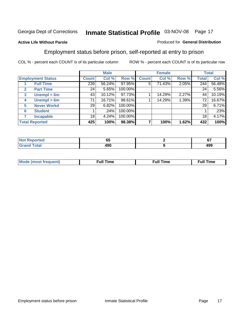#### **Active Life Without Parole**

#### Produced for **General Distribution**

#### Employment status before prison, self-reported at entry to prison

|                       |                          | <b>Male</b>  |        | <b>Female</b> |              |        | <b>Total</b> |       |        |
|-----------------------|--------------------------|--------------|--------|---------------|--------------|--------|--------------|-------|--------|
|                       | <b>Employment Status</b> | <b>Count</b> | Col %  | Row %         | <b>Count</b> | Col %  | Row %        | Total | Col %  |
|                       | <b>Full Time</b>         | 239          | 56.24% | 97.95%        | 5            | 71.43% | 2.05%        | 244   | 56.48% |
| $\mathbf{2}$          | <b>Part Time</b>         | 24           | 5.65%  | 100.00%       |              |        |              | 24    | 5.56%  |
| $\mathbf{3}$          | Unempl $<$ 6m            | 43           | 10.12% | 97.73%        |              | 14.29% | 2.27%        | 44    | 10.19% |
| 4                     | Unempl > 6m              | 71           | 16.71% | 98.61%        |              | 14.29% | 1.39%        | 72    | 16.67% |
| 5                     | <b>Never Workd</b>       | 29           | 6.82%  | 100.00%       |              |        |              | 29    | 6.71%  |
| 6                     | <b>Student</b>           |              | .24%   | 100.00%       |              |        |              |       | .23%   |
|                       | <b>Incapable</b>         | 18           | 4.24%  | 100.00%       |              |        |              | 18    | 4.17%  |
| <b>Total Reported</b> |                          | 425          | 100%   | 98.38%        |              | 100%   | 1.62%        | 432   | 100%   |

| тес.                    | - -<br>uu | $\sim$<br>v. |
|-------------------------|-----------|--------------|
| <b>Cotor</b><br>_______ | חהו<br>юu | 499          |

| Mo | 'me<br>uн<br>the contract of the contract of the contract of the contract of the contract of the contract of the contract of | ïme<br>uı.<br>the contract of the contract of the contract of the contract of the contract of the contract of the contract of |
|----|------------------------------------------------------------------------------------------------------------------------------|-------------------------------------------------------------------------------------------------------------------------------|
|    |                                                                                                                              |                                                                                                                               |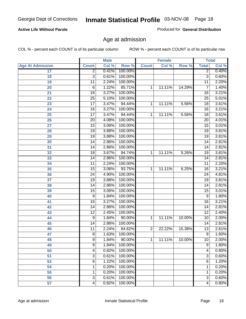#### **Active Life Without Parole**

Produced for **General Distribution**

#### Age at admission

|                         |                 | <b>Male</b> |           |                | <b>Female</b> |        |                 | <b>Total</b> |
|-------------------------|-----------------|-------------|-----------|----------------|---------------|--------|-----------------|--------------|
| <b>Age At Admission</b> | <b>Count</b>    | Col %       | Row %     | <b>Count</b>   | Col %         | Row %  | <b>Total</b>    | Col %        |
| 17                      | $\overline{2}$  | 0.41%       | 100.00%   |                |               |        | 2               | 0.40%        |
| 18                      | $\overline{3}$  | 0.61%       | 100.00%   |                |               |        | $\overline{3}$  | 0.60%        |
| 19                      | $\overline{11}$ | 2.24%       | 100.00%   |                |               |        | $\overline{11}$ | 2.20%        |
| 20                      | 6               | 1.22%       | 85.71%    | 1              | 11.11%        | 14.29% | 7               | 1.40%        |
| 21                      | $\overline{16}$ | 3.27%       | 100.00%   |                |               |        | 16              | 3.21%        |
| 22                      | $\overline{25}$ | 5.10%       | 100.00%   |                |               |        | $\overline{25}$ | 5.01%        |
| 23                      | $\overline{17}$ | 3.47%       | 94.44%    | 1              | 11.11%        | 5.56%  | $\overline{18}$ | 3.61%        |
| 24                      | $\overline{16}$ | 3.27%       | 100.00%   |                |               |        | 16              | 3.21%        |
| 25                      | $\overline{17}$ | 3.47%       | 94.44%    | 1              | 11.11%        | 5.56%  | $\overline{18}$ | 3.61%        |
| 26                      | $\overline{20}$ | 4.08%       | 100.00%   |                |               |        | 20              | 4.01%        |
| 27                      | $\overline{15}$ | 3.06%       | 100.00%   |                |               |        | $\overline{15}$ | 3.01%        |
| 28                      | 19              | 3.88%       | 100.00%   |                |               |        | $\overline{19}$ | 3.81%        |
| 29                      | $\overline{19}$ | 3.88%       | 100.00%   |                |               |        | $\overline{19}$ | 3.81%        |
| 30                      | $\overline{14}$ | 2.86%       | 100.00%   |                |               |        | 14              | 2.81%        |
| 31                      | $\overline{14}$ | 2.86%       | 100.00%   |                |               |        | $\overline{14}$ | 2.81%        |
| 32                      | 18              | 3.67%       | 94.74%    | 1              | 11.11%        | 5.26%  | 19              | 3.81%        |
| 33                      | 14              | 2.86%       | 100.00%   |                |               |        | 14              | 2.81%        |
| 34                      | 11              | 2.24%       | 100.00%   |                |               |        | 11              | 2.20%        |
| 35                      | 15              | 3.06%       | 93.75%    | 1              | 11.11%        | 6.25%  | 16              | 3.21%        |
| 36                      | $\overline{24}$ | 4.90%       | 100.00%   |                |               |        | $\overline{24}$ | 4.81%        |
| 37                      | $\overline{19}$ | 3.88%       | 100.00%   |                |               |        | $\overline{19}$ | 3.81%        |
| 38                      | $\overline{14}$ | 2.86%       | 100.00%   |                |               |        | 14              | 2.81%        |
| 39                      | 15              | 3.06%       | 100.00%   |                |               |        | $\overline{15}$ | 3.01%        |
| 40                      | 9               | 1.84%       | 100.00%   |                |               |        | 9               | 1.80%        |
| 41                      | 16              | 3.27%       | 100.00%   |                |               |        | 16              | 3.21%        |
| 42                      | 14              | 2.86%       | 100.00%   |                |               |        | 14              | 2.81%        |
| 43                      | $\overline{12}$ | 2.45%       | 100.00%   |                |               |        | $\overline{12}$ | 2.40%        |
| 44                      | 9               | 1.84%       | 90.00%    | 1              | 11.11%        | 10.00% | 10              | 2.00%        |
| 45                      | 14              | 2.86%       | 100.00%   |                |               |        | 14              | 2.81%        |
| 46                      | $\overline{11}$ | 2.24%       | 84.62%    | $\overline{2}$ | 22.22%        | 15.38% | $\overline{13}$ | 2.61%        |
| 47                      | $\overline{8}$  | 1.63%       | 100.00%   |                |               |        | $\overline{8}$  | 1.60%        |
| 48                      | 9               | 1.84%       | $90.00\%$ | 1              | 11.11%        | 10.00% | 10              | 2.00%        |
| 49                      | $\overline{9}$  | 1.84%       | 100.00%   |                |               |        | $\overline{9}$  | 1.80%        |
| 50                      | 4               | 0.82%       | 100.00%   |                |               |        | 4               | 0.80%        |
| 51                      | 3               | 0.61%       | 100.00%   |                |               |        | $\overline{3}$  | 0.60%        |
| 52                      | 6               | 1.22%       | 100.00%   |                |               |        | 6               | 1.20%        |
| 54                      | 1               | 0.20%       | 100.00%   |                |               |        | 1               | 0.20%        |
| 55                      | 1               | 0.20%       | 100.00%   |                |               |        | 1               | 0.20%        |
| 56                      | 3               | 0.61%       | 100.00%   |                |               |        | $\overline{3}$  | 0.60%        |
| 57                      | 4               | 0.82%       | 100.00%   |                |               |        | 4               | 0.80%        |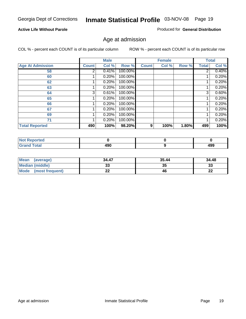#### **Active Life Without Parole**

Produced for **General Distribution**

#### Age at admission

|                         |              | <b>Male</b> |         |              | <b>Female</b> |       |       | <b>Total</b> |
|-------------------------|--------------|-------------|---------|--------------|---------------|-------|-------|--------------|
| <b>Age At Admission</b> | <b>Count</b> | Col %       | Row %   | <b>Count</b> | Col %         | Row % | Total | Col %        |
| 58                      | 2            | 0.41%       | 100.00% |              |               |       | 2     | 0.40%        |
| 60                      |              | 0.20%       | 100.00% |              |               |       |       | 0.20%        |
| 62                      |              | 0.20%       | 100.00% |              |               |       |       | 0.20%        |
| 63                      |              | 0.20%       | 100.00% |              |               |       |       | 0.20%        |
| 64                      | 3            | 0.61%       | 100.00% |              |               |       | 3     | 0.60%        |
| 65                      |              | 0.20%       | 100.00% |              |               |       |       | 0.20%        |
| 66                      |              | 0.20%       | 100.00% |              |               |       |       | 0.20%        |
| 67                      |              | 0.20%       | 100.00% |              |               |       |       | 0.20%        |
| 69                      |              | 0.20%       | 100.00% |              |               |       |       | 0.20%        |
| 71                      |              | 0.20%       | 100.00% |              |               |       |       | 0.20%        |
| <b>Total Reported</b>   | 490          | 100%        | 98.20%  | 9            | 100%          | 1.80% | 499   | 100%         |

| المدافع لمدم<br><b>NOT</b><br>prteo |            |            |
|-------------------------------------|------------|------------|
| $T0$ tol                            | ៸៰៱<br>431 | ۸۵۵<br>433 |

| <b>Mean</b><br>(average) | 34.47 | 35.44 | 34.48   |
|--------------------------|-------|-------|---------|
| Median (middle)          |       | 35    | 33      |
| Mode<br>(most frequent)  | --    | 46    | …<br>LL |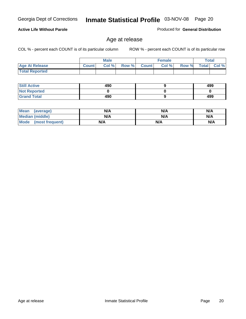#### **Active Life Without Parole**

Produced for **General Distribution**

#### Age at release

|                       |              | <b>Male</b> |       |              | <b>Female</b> |       | <b>Total</b> |       |
|-----------------------|--------------|-------------|-------|--------------|---------------|-------|--------------|-------|
| <b>Age At Release</b> | <b>Count</b> | Col%        | Row % | <b>Count</b> | Col %         | Row % | <b>Total</b> | Col % |
| <b>Total Reported</b> |              |             |       |              |               |       |              |       |

| <b>Still Active</b> | 490 | 499 |
|---------------------|-----|-----|
| <b>Not Reported</b> |     |     |
| <b>Grand Total</b>  | 490 | 499 |

| Mean (average)       | N/A | N/A | N/A |
|----------------------|-----|-----|-----|
| Median (middle)      | N/A | N/A | N/A |
| Mode (most frequent) | N/A | N/A | N/A |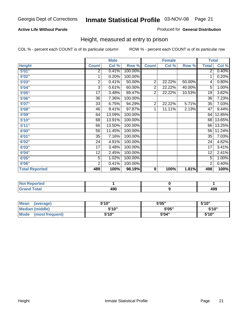#### **Active Life Without Parole**

#### Produced for **General Distribution**

#### Height, measured at entry to prison

|                       |                | <b>Male</b> |         |                | <b>Female</b> |        | <b>Total</b>    |        |
|-----------------------|----------------|-------------|---------|----------------|---------------|--------|-----------------|--------|
| <b>Height</b>         | <b>Count</b>   | Col %       | Row %   | <b>Count</b>   | Col %         | Row %  | <b>Total</b>    | Col %  |
| 5'01''                | 2              | 0.41%       | 100.00% |                |               |        | $\overline{2}$  | 0.40%  |
| 5'02"                 | 1              | 0.20%       | 100.00% |                |               |        | 1               | 0.20%  |
| 5'03"                 | 2              | 0.41%       | 50.00%  | $\overline{2}$ | 22.22%        | 50.00% | 4               | 0.80%  |
| 5'04"                 | $\overline{3}$ | 0.61%       | 60.00%  | $\overline{2}$ | 22.22%        | 40.00% | 5               | 1.00%  |
| 5'05"                 | 17             | 3.48%       | 89.47%  | $\overline{2}$ | 22.22%        | 10.53% | 19              | 3.82%  |
| 5'06''                | 36             | 7.36%       | 100.00% |                |               |        | $\overline{36}$ | 7.23%  |
| 5'07''                | 33             | 6.75%       | 94.29%  | $\overline{2}$ | 22.22%        | 5.71%  | 35              | 7.03%  |
| 5'08''                | 46             | 9.41%       | 97.87%  | 1              | 11.11%        | 2.13%  | $\overline{47}$ | 9.44%  |
| 5'09"                 | 64             | 13.09%      | 100.00% |                |               |        | 64              | 12.85% |
| 5'10''                | 68             | 13.91%      | 100.00% |                |               |        | 68              | 13.65% |
| 5'11"                 | 66             | 13.50%      | 100.00% |                |               |        | 66              | 13.25% |
| 6'00"                 | 56             | 11.45%      | 100.00% |                |               |        | 56              | 11.24% |
| 6'01''                | 35             | 7.16%       | 100.00% |                |               |        | 35              | 7.03%  |
| 6'02"                 | 24             | 4.91%       | 100.00% |                |               |        | 24              | 4.82%  |
| 6'03"                 | 17             | 3.48%       | 100.00% |                |               |        | 17              | 3.41%  |
| 6'04"                 | 12             | 2.45%       | 100.00% |                |               |        | 12              | 2.41%  |
| 6'05"                 | 5              | 1.02%       | 100.00% |                |               |        | 5               | 1.00%  |
| 6'06"                 | $\overline{2}$ | 0.41%       | 100.00% |                |               |        | $\overline{2}$  | 0.40%  |
| <b>Total Reported</b> | 489            | 100%        | 98.19%  | 9              | 100%          | 1.81%  | 498             | 100%   |

| oorted<br>NO.<br>. |     |     |
|--------------------|-----|-----|
| int<br>_____       | 490 | 499 |

| <b>Mean</b><br>(average)       | 5'10" | 5'05" | 5'10" |
|--------------------------------|-------|-------|-------|
| Median (middle)                | 5'10" | 5'05" | 5'10" |
| <b>Mode</b><br>(most frequent) | 5'10" | 5'04" | 5'10" |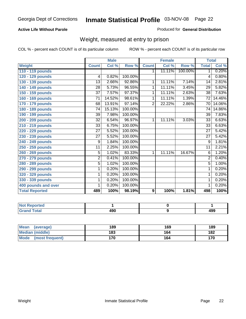#### **Active Life Without Parole**

#### Produced for **General Distribution**

#### Weight, measured at entry to prison

|                       |                 | <b>Male</b> |         |                  | <b>Female</b> |         | <b>Total</b>    |        |
|-----------------------|-----------------|-------------|---------|------------------|---------------|---------|-----------------|--------|
| <b>Weight</b>         | <b>Count</b>    | Col %       | Row %   | <b>Count</b>     | Col %         | Row %   | <b>Total</b>    | Col %  |
| 110 - 119 pounds      |                 |             |         | 1.               | 11.11%        | 100.00% | $\mathbf 1$     | 0.20%  |
| 120 - 129 pounds      | 4               | 0.82%       | 100.00% |                  |               |         | 4               | 0.80%  |
| 130 - 139 pounds      | $\overline{13}$ | 2.66%       | 92.86%  | 1                | 11.11%        | 7.14%   | $\overline{14}$ | 2.81%  |
| 140 - 149 pounds      | 28              | 5.73%       | 96.55%  | 1                | 11.11%        | 3.45%   | $\overline{29}$ | 5.82%  |
| 150 - 159 pounds      | $\overline{37}$ | 7.57%       | 97.37%  | 1                | 11.11%        | 2.63%   | $\overline{38}$ | 7.63%  |
| 160 - 169 pounds      | 71              | 14.52%      | 98.61%  | 1                | 11.11%        | 1.39%   | 72              | 14.46% |
| 170 - 179 pounds      | 68              | 13.91%      | 97.14%  | $\overline{2}$   | 22.22%        | 2.86%   | 70              | 14.06% |
| 180 - 189 pounds      | 74              | 15.13%      | 100.00% |                  |               |         | 74              | 14.86% |
| 190 - 199 pounds      | 39              | 7.98%       | 100.00% |                  |               |         | 39              | 7.83%  |
| 200 - 209 pounds      | 32              | 6.54%       | 96.97%  | 1                | 11.11%        | 3.03%   | $\overline{33}$ | 6.63%  |
| 210 - 219 pounds      | 33              | 6.75%       | 100.00% |                  |               |         | 33              | 6.63%  |
| 220 - 229 pounds      | $\overline{27}$ | 5.52%       | 100.00% |                  |               |         | $\overline{27}$ | 5.42%  |
| 230 - 239 pounds      | 27              | 5.52%       | 100.00% |                  |               |         | 27              | 5.42%  |
| 240 - 249 pounds      | 9               | 1.84%       | 100.00% |                  |               |         | $\overline{9}$  | 1.81%  |
| 250 - 259 pounds      | 11              | 2.25%       | 100.00% |                  |               |         | 11              | 2.21%  |
| 260 - 269 pounds      | 5               | 1.02%       | 83.33%  | 1                | 11.11%        | 16.67%  | 6               | 1.20%  |
| 270 - 279 pounds      | $\overline{2}$  | 0.41%       | 100.00% |                  |               |         | $\overline{2}$  | 0.40%  |
| 280 - 289 pounds      | $\overline{5}$  | 1.02%       | 100.00% |                  |               |         | $\overline{5}$  | 1.00%  |
| 290 - 299 pounds      | 1               | 0.20%       | 100.00% |                  |               |         | 1               | 0.20%  |
| 320 - 329 pounds      | 1               | 0.20%       | 100.00% |                  |               |         | 1               | 0.20%  |
| 330 - 339 pounds      | 1               | 0.20%       | 100.00% |                  |               |         | 1               | 0.20%  |
| 400 pounds and over   | 1               | 0.20%       | 100.00% |                  |               |         | 1               | 0.20%  |
| <b>Total Reported</b> | 489             | 100%        | 98.19%  | $\boldsymbol{9}$ | 100%          | 1.81%   | 498             | 100%   |

| oorted<br>Na          |     |     |
|-----------------------|-----|-----|
| <b>otal</b><br>$\sim$ | 490 | 499 |

| <b>Mean</b><br>(average)       | 189 | 169 | 189 |
|--------------------------------|-----|-----|-----|
| Median (middle)                | 183 | 164 | 182 |
| <b>Mode</b><br>(most frequent) | 170 | 164 | 170 |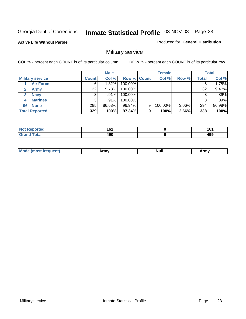**Active Life Without Parole** 

Produced for **General Distribution**

### Military service

|                         |              | <b>Male</b> |                    |   | <b>Female</b> |          |       | <b>Total</b> |
|-------------------------|--------------|-------------|--------------------|---|---------------|----------|-------|--------------|
| <b>Military service</b> | <b>Count</b> | Col %       | <b>Row % Count</b> |   | Col %         | Row %    | Total | Col %        |
| <b>Air Force</b>        | 6            | 1.82%       | 100.00%            |   |               |          |       | 1.78%        |
| <b>Army</b>             | 32           | 9.73%       | 100.00%            |   |               |          | 32    | 9.47%        |
| <b>Navy</b><br>3        |              | $.91\%$     | 100.00%            |   |               |          |       | .89%         |
| <b>Marines</b><br>4     | 3            | .91%        | 100.00%            |   |               |          | 3     | .89%         |
| 96 None                 | 285          | 86.63%      | 96.94%             | 9 | 100.00%       | $3.06\%$ | 294   | 86.98%       |
| <b>Total Reported</b>   | 329          | 100%        | 97.34%             | 9 | 100%          | 2.66%    | 338   | 100%         |

| <b>orted</b> | .<br>. .<br>__ | 4 C 4<br>ιv<br>$\sim$ |
|--------------|----------------|-----------------------|
| Coto!        | 008<br>ıэl     | 499                   |

| M<br><b>INUIL</b><br>.<br>. |
|-----------------------------|
|-----------------------------|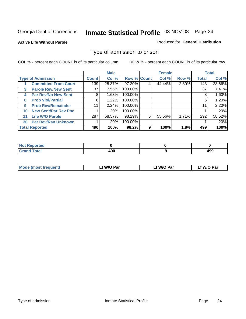#### **Active Life Without Parole**

#### Produced for **General Distribution**

#### Type of admission to prison

|    |                             |                 | <b>Male</b> |                    |   | <b>Female</b> |       |              | <b>Total</b> |
|----|-----------------------------|-----------------|-------------|--------------------|---|---------------|-------|--------------|--------------|
|    | <b>Type of Admission</b>    | <b>Count</b>    | Col %       | <b>Row % Count</b> |   | Col %         | Row % | <b>Total</b> | Col %        |
|    | <b>Committed From Court</b> | 139             | 28.37%      | 97.20%             | 4 | 44.44%        | 2.80% | 143          | 28.66%       |
| 3  | <b>Parole Rev/New Sent</b>  | 37 <sup>1</sup> | 7.55%       | 100.00%            |   |               |       | 37           | 7.41%        |
| 4  | <b>Par Rev/No New Sent</b>  | 8               | 1.63%       | 100.00%            |   |               |       | 8            | 1.60%        |
| 6  | <b>Prob Viol/Partial</b>    | 6               | 1.22%       | 100.00%            |   |               |       | 6            | 1.20%        |
| 9  | <b>Prob Rev/Remainder</b>   | 11              | 2.24%       | 100.00%            |   |               |       | 11           | 2.20%        |
| 10 | <b>New Sent/Par Rev Pnd</b> |                 | .20%        | 100.00%            |   |               |       |              | .20%         |
| 11 | <b>Life W/O Parole</b>      | 287             | 58.57%      | 98.29%             | 5 | 55.56%        | 1.71% | 292          | 58.52%       |
| 30 | <b>Par Rev/Rsn Unknown</b>  |                 | .20%        | 100.00%            |   |               |       |              | .20%         |
|    | <b>Total Reported</b>       | 490             | 100%        | 98.2%              | 9 | 100%          | 1.8%  | 499          | 100%         |

| <b>Reported</b><br><b>NOT</b> |     |                   |
|-------------------------------|-----|-------------------|
| <b>Total</b><br>Grs<br>$\sim$ | "^^ | <b>AQC</b><br>499 |

| <b>Mode (most frequent)</b> | <b>W/O Par</b> | <b>W/O Par</b> | W/O Par |
|-----------------------------|----------------|----------------|---------|
|                             |                |                |         |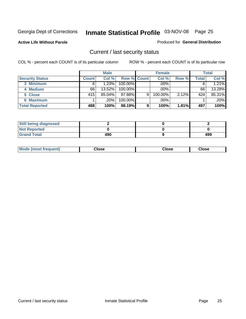**Active Life Without Parole** 

Produced for **General Distribution**

#### Current / last security status

|                        |              | <b>Male</b> |                    |   | <b>Female</b> |       |       | <b>Total</b> |
|------------------------|--------------|-------------|--------------------|---|---------------|-------|-------|--------------|
| <b>Security Status</b> | <b>Count</b> | Col %       | <b>Row % Count</b> |   | Col %         | Row % | Total | Col %        |
| 3 Minimum              |              | 1.23%       | $100.00\%$         |   | .00%          |       |       | 1.21%        |
| 4 Medium               | 66           | 13.52%      | $100.00\%$         |   | $.00\%$       |       | 66    | 13.28%       |
| 5 Close                | 415          | $85.04\%$   | 97.88%I            | 9 | 100.00%       | 2.12% | 424   | 85.31%       |
| 6 Maximum              |              | $.20\%$     | 100.00%            |   | .00%          |       |       | $.20\%$      |
| <b>Total Reported</b>  | 488          | 100%        | 98.19%             | 9 | 100%          | 1.81% | 497   | 100%         |

| <b>Still being diagnosed</b> |     |     |
|------------------------------|-----|-----|
| <b>Not Reported</b>          |     |     |
| <b>Grand Total</b>           | 490 | 499 |

| <b>Mode</b><br><b>OSE</b><br>∵lose<br>(most frequent)<br>oseث<br>- - - -<br>- - - -<br>- - - - |  |
|------------------------------------------------------------------------------------------------|--|
|------------------------------------------------------------------------------------------------|--|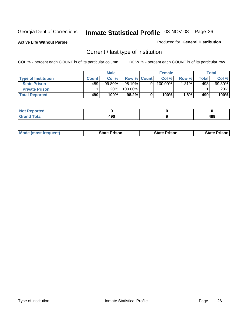**Active Life Without Parole** 

Produced for **General Distribution**

### Current / last type of institution

|                            |              | <b>Male</b> |                    |   | <b>Female</b> |          |       | <b>Total</b> |
|----------------------------|--------------|-------------|--------------------|---|---------------|----------|-------|--------------|
| <b>Type of Institution</b> | <b>Count</b> | Col%        | <b>Row % Count</b> |   | Col %         | Row %    | Total | Col %        |
| <b>State Prison</b>        | 489          | $99.80\%$   | 98.19%             | Q | 100.00%       | $1.81\%$ | 498   | 99.80%       |
| <b>Private Prison</b>      |              | 20%         | 100.00%            |   |               |          |       | .20%         |
| <b>Total Reported</b>      | 490          | 100%        | 98.2%              |   | 100%          | 1.8%     | 499   | 100%         |

| ted         |      |     |
|-------------|------|-----|
| <b>otal</b> | 008  | ۸00 |
| --          | 4J U | 499 |

| <b>Mode (most frequent)</b> | <b>State Prison</b> | <b>State Prison</b> | <b>State Prison</b> |
|-----------------------------|---------------------|---------------------|---------------------|
|                             |                     |                     |                     |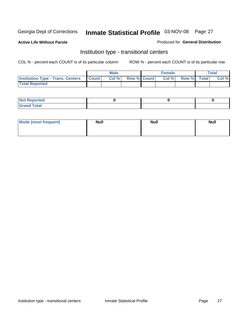**Active Life Without Parole** 

Produced for **General Distribution**

#### Institution type - transitional centers

|                                          |              | <b>Male</b> |                    | <b>Female</b> |             | Total |
|------------------------------------------|--------------|-------------|--------------------|---------------|-------------|-------|
| <b>Institution Type - Trans. Centers</b> | <b>Count</b> | Col%        | <b>Row % Count</b> | Col %         | Row % Total | Col % |
| <b>Total Reported</b>                    |              |             |                    |               |             |       |

| rtea<br>20 NGL 2<br>  |  |  |
|-----------------------|--|--|
| into!<br>---<br>_____ |  |  |

| Mode (most frequent) | <b>Null</b> | <b>Null</b> | <b>Null</b> |
|----------------------|-------------|-------------|-------------|
|                      |             |             |             |
|                      |             |             |             |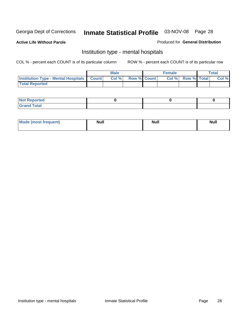**Active Life Without Parole** 

Produced for **General Distribution**

#### Institution type - mental hospitals

|                                                  | <b>Male</b> |                    | <b>Female</b> |                   | <b>Total</b> |
|--------------------------------------------------|-------------|--------------------|---------------|-------------------|--------------|
| <b>Institution Type - Mental Hospitals Count</b> | Col%        | <b>Row % Count</b> |               | Col % Row % Total | Col %        |
| <b>Total Reported</b>                            |             |                    |               |                   |              |

| <b>Not Reported</b> |  |  |
|---------------------|--|--|
| <b>Fotal</b><br>Cro |  |  |

| Mode (most frequent) | <b>Null</b> | <b>Null</b> | <b>Null</b> |
|----------------------|-------------|-------------|-------------|
|                      |             |             |             |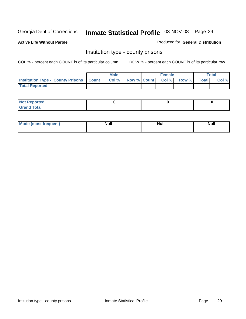**Active Life Without Parole** 

Produced for **General Distribution**

#### Institution type - county prisons

|                                                    | <b>Male</b> |                          | <b>Female</b> |       |              | Total |
|----------------------------------------------------|-------------|--------------------------|---------------|-------|--------------|-------|
| <b>Institution Type - County Prisons   Count  </b> | Col %       | <b>Row % Count Col %</b> |               | Row % | <b>Total</b> | Col % |
| <b>Total Reported</b>                              |             |                          |               |       |              |       |

| <b>Not</b><br><b>Reported</b> |  |  |
|-------------------------------|--|--|
| <b>Grand Total</b>            |  |  |

| <b>Mode (most frequent)</b> | <b>Null</b> | <b>Null</b> | <b>Null</b> |
|-----------------------------|-------------|-------------|-------------|
|                             |             |             |             |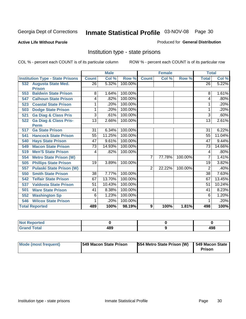#### **Active Life Without Parole**

#### Produced for **General Distribution**

#### Institution type - state prisons

|     |                                         | <b>Male</b>     |        | <b>Female</b> |                |        | <b>Total</b> |                 |        |
|-----|-----------------------------------------|-----------------|--------|---------------|----------------|--------|--------------|-----------------|--------|
|     | <b>Institution Type - State Prisons</b> | <b>Count</b>    | Col %  | Row %         | <b>Count</b>   | Col %  | Row %        | <b>Total</b>    | Col %  |
|     | 532 Augusta State Med.                  | $\overline{26}$ | 5.32%  | 100.00%       |                |        |              | $\overline{26}$ | 5.22%  |
|     | <b>Prison</b>                           |                 |        |               |                |        |              |                 |        |
| 553 | <b>Baldwin State Prison</b>             | 8               | 1.64%  | 100.00%       |                |        |              | 8               | 1.61%  |
| 547 | <b>Calhoun State Prison</b>             | 4               | .82%   | 100.00%       |                |        |              | 4               | .80%   |
| 523 | <b>Coastal State Prison</b>             | 1               | .20%   | 100.00%       |                |        |              |                 | .20%   |
| 503 | <b>Dodge State Prison</b>               | 1               | .20%   | 100.00%       |                |        |              | 1               | .20%   |
| 521 | <b>Ga Diag &amp; Class Pris</b>         | 3               | .61%   | 100.00%       |                |        |              | 3               | .60%   |
| 522 | <b>Ga Diag &amp; Class Pris-</b>        | 13              | 2.66%  | 100.00%       |                |        |              | 13              | 2.61%  |
|     | <b>Perm</b>                             |                 |        |               |                |        |              |                 |        |
| 517 | <b>Ga State Prison</b>                  | 31              | 6.34%  | 100.00%       |                |        |              | 31              | 6.22%  |
| 541 | <b>Hancock State Prison</b>             | 55              | 11.25% | 100.00%       |                |        |              | 55              | 11.04% |
| 540 | <b>Hays State Prison</b>                | 47              | 9.61%  | 100.00%       |                |        |              | 47              | 9.44%  |
| 549 | <b>Macon State Prison</b>               | 73              | 14.93% | 100.00%       |                |        |              | 73              | 14.66% |
| 519 | <b>Men'S State Prison</b>               | 4               | .82%   | 100.00%       |                |        |              | 4               | .80%   |
| 554 | <b>Metro State Prison (W)</b>           |                 |        |               | $\overline{7}$ | 77.78% | 100.00%      | 7               | 1.41%  |
| 505 | <b>Phillips State Prison</b>            | $\overline{19}$ | 3.89%  | 100.00%       |                |        |              | $\overline{19}$ | 3.82%  |
| 557 | <b>Pulaski State Prison (W)</b>         |                 |        |               | 2              | 22.22% | 100.00%      | 2               | .40%   |
| 550 | <b>Smith State Prison</b>               | 38              | 7.77%  | 100.00%       |                |        |              | 38              | 7.63%  |
| 542 | <b>Telfair State Prison</b>             | 67              | 13.70% | 100.00%       |                |        |              | 67              | 13.45% |
| 537 | <b>Valdosta State Prison</b>            | $\overline{51}$ | 10.43% | 100.00%       |                |        |              | 51              | 10.24% |
| 501 | <b>Ware State Prison</b>                | 41              | 8.38%  | 100.00%       |                |        |              | 41              | 8.23%  |
| 552 | <b>Washington Sp</b>                    | 6               | 1.23%  | 100.00%       |                |        |              | 6               | 1.20%  |
| 546 | <b>Wilcox State Prison</b>              | 1               | .20%   | 100.00%       |                |        |              |                 | .20%   |
|     | <b>Total Reported</b>                   | 489             | 100%   | 98.19%        | 9              | 100%   | 1.81%        | 498             | 100%   |

| <b>Not Reported</b> |     |     |
|---------------------|-----|-----|
| <b>Total</b>        | 489 | 498 |

| Mode (most frequent) | <b>1549 Macon State Prison</b> | <b>554 Metro State Prison (W)</b> | 549 Macon State<br><b>Prison</b> |
|----------------------|--------------------------------|-----------------------------------|----------------------------------|
|----------------------|--------------------------------|-----------------------------------|----------------------------------|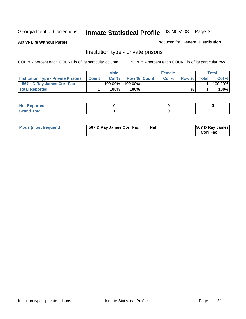**Active Life Without Parole** 

Produced for **General Distribution**

#### Institution type - private prisons

|                                           |              | <b>Male</b> |                    | <b>Female</b> |              |       | Total   |
|-------------------------------------------|--------------|-------------|--------------------|---------------|--------------|-------|---------|
| <b>Institution Type - Private Prisons</b> | <b>Count</b> | Col %       | <b>Row % Count</b> | Col%          | <b>Row</b> % | Total | Col %   |
| 567 D Ray James Corr Fac                  |              | 100.00%     | $100.00\%$         |               |              |       | 100.00% |
| <b>Total Reported</b>                     |              | 100%        | 100%               |               | %            |       | 100%    |

| rtea<br>$\sim$<br>.      |  |  |
|--------------------------|--|--|
| int<br><b>TULAI</b><br>- |  |  |

| Mode (most frequent) | 567 D Ray James Corr Fac | <b>Null</b> | <b>567 D Ray James</b><br><b>Corr Fac</b> |
|----------------------|--------------------------|-------------|-------------------------------------------|
|----------------------|--------------------------|-------------|-------------------------------------------|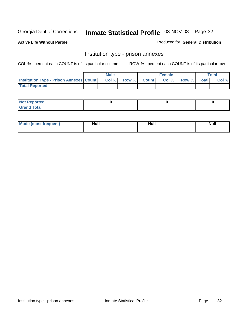**Active Life Without Parole** 

Produced for **General Distribution**

#### Institution type - prison annexes

|                                                | <b>Male</b> |             | <b>Female</b> |             | <b>Total</b> |
|------------------------------------------------|-------------|-------------|---------------|-------------|--------------|
| <b>Institution Type - Prison Annexes Count</b> | Col %       | Row % Count | Col%          | Row % Total | Col %        |
| <b>Total Reported</b>                          |             |             |               |             |              |

| <b>Not Reported</b>            |  |  |
|--------------------------------|--|--|
| <b>Total</b><br>Croi<br>$\sim$ |  |  |

| Mode (most frequent) | <b>Null</b> | <b>Null</b> | <b>Null</b> |
|----------------------|-------------|-------------|-------------|
|                      |             |             |             |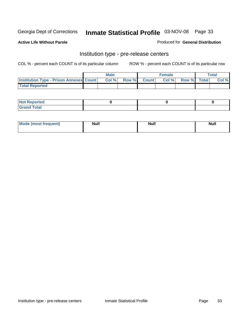**Active Life Without Parole** 

Produced for **General Distribution**

#### Institution type - pre-release centers

|                                                | <b>Male</b> |             | <b>Female</b> |             | <b>Total</b> |
|------------------------------------------------|-------------|-------------|---------------|-------------|--------------|
| <b>Institution Type - Prison Annexes Count</b> | Col %       | Row % Count | Col%          | Row % Total | Col %        |
| <b>Total Reported</b>                          |             |             |               |             |              |

| <b>Not</b><br><b>Reported</b>    |  |  |
|----------------------------------|--|--|
| <b>Total</b><br>Gran<br>$\sim$ . |  |  |

| Mode (most frequent) | <b>Null</b> | <b>Null</b> | <b>Null</b> |
|----------------------|-------------|-------------|-------------|
|                      |             |             |             |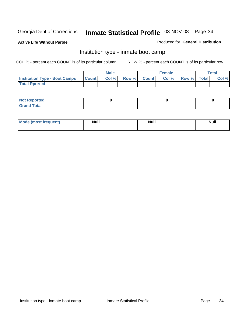**Active Life Without Parole** 

Produced for **General Distribution**

#### Institution type - inmate boot camp

|                                      |              | Male  |             | <b>Female</b> |             | <b>Total</b> |
|--------------------------------------|--------------|-------|-------------|---------------|-------------|--------------|
| <b>Institution Type - Boot Camps</b> | <b>Count</b> | Col % | Row % Count | Col %         | Row % Total | Col %        |
| <b>Total Rported</b>                 |              |       |             |               |             |              |

| <b>Not Reported</b>  |  |  |
|----------------------|--|--|
| <b>Total</b><br>Croy |  |  |

| Mode (most frequent) | <b>Null</b> | <b>Null</b> | <b>Null</b> |
|----------------------|-------------|-------------|-------------|
|                      |             |             |             |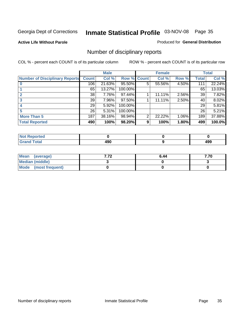**Active Life Without Parole** 

Produced for **General Distribution**

### Number of disciplinary reports

|                                       |                 | <b>Male</b> |                    |   | <b>Female</b> |          |              | <b>Total</b> |
|---------------------------------------|-----------------|-------------|--------------------|---|---------------|----------|--------------|--------------|
| <b>Number of Disciplinary Reports</b> | <b>Count</b>    | Col %       | <b>Row % Count</b> |   | Col %         | Row %    | <b>Total</b> | Col %        |
|                                       | 106             | $21.63\%$   | 95.50%             | 5 | 55.56%        | 4.50%    | 111          | 22.24%       |
|                                       | 65              | 13.27%      | 100.00%            |   |               |          | 65           | 13.03%       |
|                                       | 38              | 7.76%       | 97.44%             |   | 11.11%        | 2.56%    | 39           | 7.82%        |
| 3                                     | 39              | 7.96%       | 97.50%             |   | 11.11%        | 2.50%    | 40           | 8.02%        |
|                                       | 29 <sub>1</sub> | 5.92%       | 100.00%            |   |               |          | 29           | 5.81%        |
|                                       | 26              | 5.31%       | 100.00%            |   |               |          | 26           | 5.21%        |
| <b>More Than 5</b>                    | 187             | 38.16%      | 98.94%             | 2 | 22.22%        | $1.06\%$ | 189          | 37.88%       |
| <b>Total Reported</b>                 | 490             | 100%        | 98.20%             | 9 | 100%          | 1.80%    | 499          | 100.0%       |

| .<br>N<br>Tet. |           |                   |
|----------------|-----------|-------------------|
| $\sim$         | .<br>$ -$ | ס ו<br>- 73<br>__ |

| Mean (average)         | . | 6.44 |  |
|------------------------|---|------|--|
| <b>Median (middle)</b> |   |      |  |
| Mode (most frequent)   |   |      |  |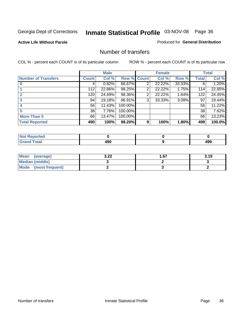#### **Active Life Without Parole**

#### Produced for **General Distribution**

#### Number of transfers

|                       |              | <b>Male</b> |         |       | <b>Female</b> |        |              | <b>Total</b> |
|-----------------------|--------------|-------------|---------|-------|---------------|--------|--------------|--------------|
| Number of Transfers   | <b>Count</b> | Col %       | Row %   | Count | Col %         | Row %  | <b>Total</b> | Col %        |
|                       | 4            | 0.82%       | 66.67%  | 2     | 22.22%        | 33.33% | 6            | 1.20%        |
|                       | 112          | 22.86%      | 98.25%  | 2     | 22.22%        | 1.75%  | 114          | 22.85%       |
|                       | 120          | 24.49%      | 98.36%  | 2     | 22.22%        | 1.64%  | 122          | 24.45%       |
|                       | 94           | 19.18%      | 96.91%  | 3     | 33.33%        | 3.09%  | 97           | 19.44%       |
|                       | 56           | 11.43%      | 100.00% |       |               |        | 56           | 11.22%       |
|                       | 38           | 7.76%       | 100.00% |       |               |        | 38           | 7.62%        |
| <b>More Than 5</b>    | 66           | 13.47%      | 100.00% |       |               |        | 66           | 13.23%       |
| <b>Total Reported</b> | 490          | 100%        | 98.20%  | 9     | 100%          | 1.80%  | 499          | 100.0%       |

| .<br>N<br>Tet. |           |                   |
|----------------|-----------|-------------------|
| $\sim$         | .<br>$ -$ | ס ו<br>- 73<br>__ |

| Mean (average)       | ר מ<br>J.LL | l .67 | 3.19 |
|----------------------|-------------|-------|------|
| Median (middle)      |             |       |      |
| Mode (most frequent) |             |       |      |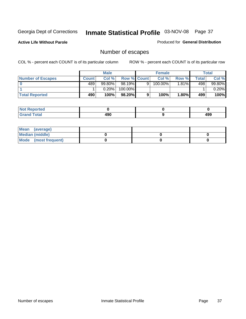**Active Life Without Parole** 

Produced for **General Distribution**

# Number of escapes

|                       |         | <b>Male</b> |                    |   | <b>Female</b> |          |       | <b>Total</b> |
|-----------------------|---------|-------------|--------------------|---|---------------|----------|-------|--------------|
| Number of Escapes     | Count l | Col %       | <b>Row % Count</b> |   | Col %         | Row %    | Total | Col %        |
|                       | 489'    | $99.80\%$   | $98.19\%$          | 9 | 100.00%       | $1.81\%$ | 498   | 99.80%       |
|                       |         | 0.20%       | 100.00%            |   |               |          |       | 0.20%        |
| <b>Total Reported</b> | 490     | 100%        | $98.20\%$          |   | 100%          | 1.80%    | 499   | 100%         |

| neo                             |             |     |
|---------------------------------|-------------|-----|
| <b>otal</b><br>$\mathbf{v}$ and | 10c<br>I JU | 499 |

| Mean (average)       |  |  |
|----------------------|--|--|
| Median (middle)      |  |  |
| Mode (most frequent) |  |  |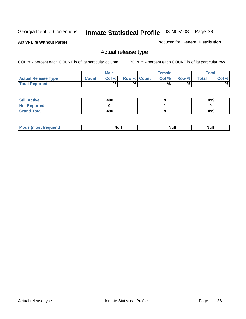**Active Life Without Parole** 

Produced for **General Distribution**

# Actual release type

|                            |              | <b>Male</b> |                    | <b>Female</b> |       |              | Total |
|----------------------------|--------------|-------------|--------------------|---------------|-------|--------------|-------|
| <b>Actual Release Type</b> | <b>Count</b> | Col %       | <b>Row % Count</b> | Col %         | Row % | <b>Total</b> | Col % |
| <b>Total Reported</b>      |              | $\%$        | %                  | %             | %     |              | %     |

| <b>Still Active</b> | 490 | 499 |
|---------------------|-----|-----|
| <b>Not Reported</b> |     |     |
| <b>Grand Total</b>  | 490 | 499 |

| īМ | м.<br>$-$ - $-$ - $-$ - $-$ | Null | $\cdots$ |
|----|-----------------------------|------|----------|
|    |                             |      |          |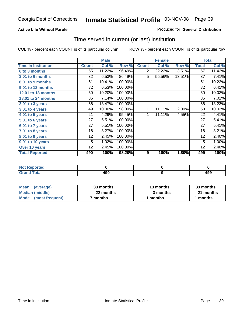#### **Active Life Without Parole**

#### Produced for **General Distribution**

# Time served in current (or last) institution

|                            |              | <b>Male</b> |         |              | <b>Female</b> |        |                 | <b>Total</b> |
|----------------------------|--------------|-------------|---------|--------------|---------------|--------|-----------------|--------------|
| <b>Time In Institution</b> | <b>Count</b> | Col %       | Row %   | <b>Count</b> | Col %         | Row %  | <b>Total</b>    | Col %        |
| 0 to 3 months              | 55           | 11.22%      | 96.49%  | 2            | 22.22%        | 3.51%  | $\overline{57}$ | 11.42%       |
| <b>3.01 to 6 months</b>    | 32           | 6.53%       | 86.49%  | 5            | 55.56%        | 13.51% | 37              | 7.41%        |
| 6.01 to 9 months           | 51           | 10.41%      | 100.00% |              |               |        | 51              | 10.22%       |
| 9.01 to 12 months          | 32           | 6.53%       | 100.00% |              |               |        | 32              | 6.41%        |
| 12.01 to 18 months         | 50           | 10.20%      | 100.00% |              |               |        | 50              | 10.02%       |
| <b>18.01 to 24 months</b>  | 35           | 7.14%       | 100.00% |              |               |        | 35              | 7.01%        |
| 2.01 to 3 years            | 66           | 13.47%      | 100.00% |              |               |        | 66              | 13.23%       |
| 3.01 to 4 years            | 49           | 10.00%      | 98.00%  | 1            | 11.11%        | 2.00%  | 50              | 10.02%       |
| 4.01 to 5 years            | 21           | 4.29%       | 95.45%  | 1            | 11.11%        | 4.55%  | 22              | 4.41%        |
| 5.01 to 6 years            | 27           | 5.51%       | 100.00% |              |               |        | 27              | 5.41%        |
| 6.01 to 7 years            | 27           | 5.51%       | 100.00% |              |               |        | 27              | 5.41%        |
| 7.01 to 8 years            | 16           | 3.27%       | 100.00% |              |               |        | 16              | 3.21%        |
| 8.01 to 9 years            | 12           | 2.45%       | 100.00% |              |               |        | 12              | 2.40%        |
| 9.01 to 10 years           | 5            | 1.02%       | 100.00% |              |               |        | 5               | 1.00%        |
| Over 10 years              | 12           | 2.45%       | 100.00% |              |               |        | 12              | 2.40%        |
| <b>Total Reported</b>      | 490          | 100%        | 98.20%  | 9            | 100%          | 1.80%  | 499             | 100%         |

| <b>Reported</b><br><b>Not</b> |     |            |
|-------------------------------|-----|------------|
| <b>Total</b>                  | 490 | 10C<br>433 |

| <b>Mean</b><br>(average)       | 33 months | 13 months | 33 months |
|--------------------------------|-----------|-----------|-----------|
| Median (middle)                | 22 months | 3 months  | 21 months |
| <b>Mode</b><br>(most frequent) | months    | ∣ months  | months    |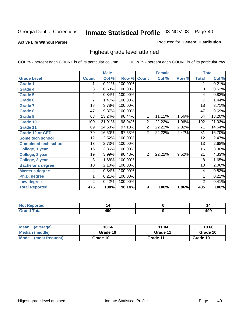## **Active Life Without Parole**

## Produced for **General Distribution**

# Highest grade level attained

|                              |                 | <b>Male</b> |         |                  | <b>Female</b> |       |                 | <b>Total</b> |
|------------------------------|-----------------|-------------|---------|------------------|---------------|-------|-----------------|--------------|
| <b>Grade Level</b>           | <b>Count</b>    | Col %       | Row %   | <b>Count</b>     | Col %         | Row % | <b>Total</b>    | Col %        |
| <b>Grade 1</b>               | 1               | 0.21%       | 100.00% |                  |               |       | 1               | 0.21%        |
| <b>Grade 4</b>               | $\overline{3}$  | 0.63%       | 100.00% |                  |               |       | $\overline{3}$  | 0.62%        |
| <b>Grade 5</b>               | 4               | 0.84%       | 100.00% |                  |               |       | 4               | 0.82%        |
| Grade 6                      | 7               | 1.47%       | 100.00% |                  |               |       | 7               | 1.44%        |
| <b>Grade 7</b>               | $\overline{18}$ | 3.78%       | 100.00% |                  |               |       | $\overline{18}$ | 3.71%        |
| <b>Grade 8</b>               | 47              | 9.87%       | 100.00% |                  |               |       | 47              | 9.69%        |
| <b>Grade 9</b>               | 63              | 13.24%      | 98.44%  | 1                | 11.11%        | 1.56% | 64              | 13.20%       |
| Grade 10                     | 100             | 21.01%      | 98.04%  | 2                | 22.22%        | 1.96% | 102             | 21.03%       |
| Grade 11                     | 69              | 14.50%      | 97.18%  | $\overline{2}$   | 22.22%        | 2.82% | 71              | 14.64%       |
| <b>Grade 12 or GED</b>       | 79              | 16.60%      | 97.53%  | $\overline{2}$   | 22.22%        | 2.47% | 81              | 16.70%       |
| <b>Some tech school</b>      | 12              | 2.52%       | 100.00% |                  |               |       | 12              | 2.47%        |
| <b>Completed tech school</b> | 13              | 2.73%       | 100.00% |                  |               |       | 13              | 2.68%        |
| College, 1 year              | 16              | 3.36%       | 100.00% |                  |               |       | 16              | 3.30%        |
| College, 2 year              | 19              | 3.99%       | 90.48%  | $\overline{2}$   | 22.22%        | 9.52% | $\overline{21}$ | 4.33%        |
| College, 3 year              | 8               | 1.68%       | 100.00% |                  |               |       | 8               | 1.65%        |
| <b>Bachelor's degree</b>     | 10              | 2.10%       | 100.00% |                  |               |       | 10              | 2.06%        |
| <b>Master's degree</b>       | 4               | 0.84%       | 100.00% |                  |               |       | 4               | 0.82%        |
| Ph.D. degree                 | 1               | 0.21%       | 100.00% |                  |               |       | 1               | 0.21%        |
| Law degree                   | $\overline{2}$  | 0.42%       | 100.00% |                  |               |       | $\overline{2}$  | 0.41%        |
| <b>Total Reported</b>        | 476             | 100%        | 98.14%  | $\boldsymbol{9}$ | 100%          | 1.86% | 485             | 100%         |

| n eo                        |     |            |
|-----------------------------|-----|------------|
| Colo <sup>r</sup><br>$\sim$ | ,,, | ,,,<br>493 |

| <b>Mean</b><br>(average)       | 10.66    | 11.44    | 10.68    |
|--------------------------------|----------|----------|----------|
| Median (middle)                | Grade 10 | Grade 11 | Grade 10 |
| <b>Mode</b><br>(most frequent) | Grade 10 | Grade 11 | Grade 10 |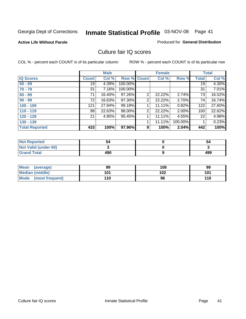**Active Life Without Parole** 

Produced for **General Distribution**

# Culture fair IQ scores

|                       |              | <b>Male</b> |             |                | <b>Female</b> |          |              | <b>Total</b> |
|-----------------------|--------------|-------------|-------------|----------------|---------------|----------|--------------|--------------|
| <b>IQ Scores</b>      | <b>Count</b> | Col %       | Row % Count |                | Col %         | Row %    | <b>Total</b> | Col %        |
| $60 - 69$             | 19           | 4.39%       | 100.00%     |                |               |          | 19           | 4.30%        |
| $70 - 79$             | 31           | 7.16%       | 100.00%     |                |               |          | 31           | 7.01%        |
| $80 - 89$             | 71           | 16.40%      | 97.26%      | $\overline{2}$ | 22.22%        | 2.74%    | 73           | 16.52%       |
| $90 - 99$             | 72           | 16.63%      | 97.30%      | 2              | 22.22%        | 2.70%    | 74           | 16.74%       |
| $100 - 109$           | 121          | 27.94%      | 99.18%      | 4              | 11.11%        | 0.82%    | 122          | 27.60%       |
| $110 - 119$           | 98           | 22.63%      | 98.00%      | 2              | 22.22%        | $2.00\%$ | 100          | 22.62%       |
| $120 - 129$           | 21           | 4.85%       | 95.45%      |                | 11.11%        | 4.55%    | 22           | 4.98%        |
| $130 - 139$           |              |             |             | 4              | 11.11%        | 100.00%  |              | 0.23%        |
| <b>Total Reported</b> | 433          | 100%        | 97.96%      | 9              | 100%          | 2.04%    | 442          | 100%         |

| <b>Not Reported</b>  | 54  | 54  |
|----------------------|-----|-----|
| Not Valid (under 60) |     |     |
| <b>Grand Total</b>   | 490 | 499 |

| Mean<br>(average)    | 99  | 108 | 99  |
|----------------------|-----|-----|-----|
| Median (middle)      | 101 | 102 | 101 |
| Mode (most frequent) | '10 | 96  | 110 |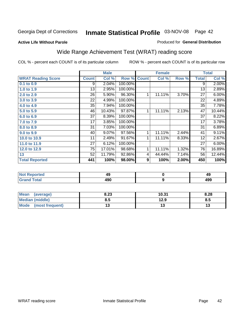#### **Active Life Without Parole**

#### Produced for **General Distribution**

# Wide Range Achievement Test (WRAT) reading score

|                              |              | <b>Male</b> |         |              | <b>Female</b> |       |              | <b>Total</b> |
|------------------------------|--------------|-------------|---------|--------------|---------------|-------|--------------|--------------|
| <b>WRAT Reading Score</b>    | <b>Count</b> | Col %       | Row %   | <b>Count</b> | Col %         | Row % | <b>Total</b> | Col %        |
| $0.1$ to $0.9$               | 9            | 2.04%       | 100.00% |              |               |       | 9            | $2.00\%$     |
| 1.0 to 1.9                   | 13           | 2.95%       | 100.00% |              |               |       | 13           | 2.89%        |
| 2.0 to 2.9                   | 26           | 5.90%       | 96.30%  | 1            | 11.11%        | 3.70% | 27           | 6.00%        |
| 3.0 to 3.9                   | 22           | 4.99%       | 100.00% |              |               |       | 22           | 4.89%        |
| 4.0 to 4.9                   | 35           | 7.94%       | 100.00% |              |               |       | 35           | 7.78%        |
| 5.0 to 5.9                   | 46           | 10.43%      | 97.87%  | 1            | 11.11%        | 2.13% | 47           | 10.44%       |
| 6.0 to 6.9                   | 37           | 8.39%       | 100.00% |              |               |       | 37           | 8.22%        |
| 7.0 to 7.9                   | 17           | 3.85%       | 100.00% |              |               |       | 17           | 3.78%        |
| 8.0 to 8.9                   | 31           | 7.03%       | 100.00% |              |               |       | 31           | 6.89%        |
| 9.0 to 9.9                   | 40           | 9.07%       | 97.56%  | 1            | 11.11%        | 2.44% | 41           | 9.11%        |
| 10.0 to 10.9                 | 11           | 2.49%       | 91.67%  | 1            | 11.11%        | 8.33% | 12           | 2.67%        |
| 11.0 to 11.9                 | 27           | 6.12%       | 100.00% |              |               |       | 27           | 6.00%        |
| 12.0 to 12.9                 | 75           | 17.01%      | 98.68%  | 1            | 11.11%        | 1.32% | 76           | 16.89%       |
| 13                           | 52           | 11.79%      | 92.86%  | 4            | 44.44%        | 7.14% | 56           | 12.44%       |
| <b>Total Reported</b>        | 441          | 100%        | 98.00%  | 9            | 100%          | 2.00% | 450          | 100%         |
|                              |              |             |         |              |               |       |              |              |
| <b>Allent Processing all</b> |              | $\sqrt{2}$  |         |              | $\sim$        |       |              | $\sqrt{2}$   |

| тег.         | - 3        | л<br>42       |
|--------------|------------|---------------|
| --<br>______ | anr<br>4JU | <br>452<br>__ |

| Mean (average)       | 8.23 | 10.31 | 8.28 |
|----------------------|------|-------|------|
| Median (middle)      | 8.5  | 12.9  | 8.5  |
| Mode (most frequent) | ט ו  |       | IJ   |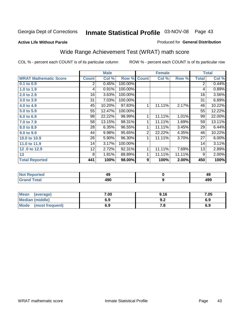#### **Active Life Without Parole**

#### Produced for **General Distribution**

# Wide Range Achievement Test (WRAT) math score

|                              |              | <b>Male</b> |         |                | <b>Female</b> |        |              | <b>Total</b> |
|------------------------------|--------------|-------------|---------|----------------|---------------|--------|--------------|--------------|
| <b>WRAT Mathematic Score</b> | <b>Count</b> | Col %       | Row %   | <b>Count</b>   | Col %         | Row %  | <b>Total</b> | Col %        |
| $0.1$ to $0.9$               | 2            | 0.45%       | 100.00% |                |               |        | 2            | 0.44%        |
| 1.0 to 1.9                   | 4            | 0.91%       | 100.00% |                |               |        | 4            | 0.89%        |
| 2.0 to 2.9                   | 16           | 3.63%       | 100.00% |                |               |        | 16           | 3.56%        |
| 3.0 to 3.9                   | 31           | 7.03%       | 100.00% |                |               |        | 31           | 6.89%        |
| 4.0 to 4.9                   | 45           | 10.20%      | 97.83%  | 1              | 11.11%        | 2.17%  | 46           | 10.22%       |
| 5.0 to 5.9                   | 55           | 12.47%      | 100.00% |                |               |        | 55           | 12.22%       |
| 6.0 to 6.9                   | 98           | 22.22%      | 98.99%  | 1              | 11.11%        | 1.01%  | 99           | 22.00%       |
| 7.0 to 7.9                   | 58           | 13.15%      | 98.31%  | 1              | 11.11%        | 1.69%  | 59           | 13.11%       |
| 8.0 to 8.9                   | 28           | 6.35%       | 96.55%  | 1              | 11.11%        | 3.45%  | 29           | 6.44%        |
| 9.0 to 9.9                   | 44           | 9.98%       | 95.65%  | $\overline{2}$ | 22.22%        | 4.35%  | 46           | 10.22%       |
| 10.0 to 10.9                 | 26           | 5.90%       | 96.30%  | 1              | 11.11%        | 3.70%  | 27           | 6.00%        |
| 11.0 to 11.9                 | 14           | 3.17%       | 100.00% |                |               |        | 14           | 3.11%        |
| 12.0 to 12.9                 | 12           | 2.72%       | 92.31%  | 1              | 11.11%        | 7.69%  | 13           | 2.89%        |
| 13                           | 8            | 1.81%       | 88.89%  | 1              | 11.11%        | 11.11% | 9            | 2.00%        |
| <b>Total Reported</b>        | 441          | 100%        | 98.00%  | 9              | 100%          | 2.00%  | 450          | 100%         |
|                              |              |             |         |                |               |        |              |              |

| <b>Not Reported</b> | 49  | 49  |
|---------------------|-----|-----|
| <b>Grand Total</b>  | 490 | 499 |

| Mean (average)         | 7.00 | 9.16 | 7.05 |
|------------------------|------|------|------|
| <b>Median (middle)</b> | 6.9  | J.Z  | 6.9  |
| Mode (most frequent)   | 6.9  | 7.a  | 6.9  |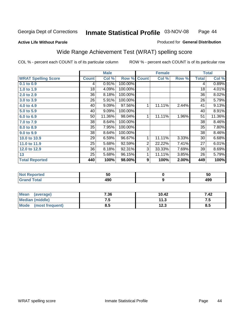#### **Active Life Without Parole**

#### Produced for **General Distribution**

# Wide Range Achievement Test (WRAT) spelling score

|                            |              | <b>Male</b> |         |                | <b>Female</b> |       |              | <b>Total</b> |
|----------------------------|--------------|-------------|---------|----------------|---------------|-------|--------------|--------------|
| <b>WRAT Spelling Score</b> | <b>Count</b> | Col %       | Row %   | <b>Count</b>   | Col %         | Row % | <b>Total</b> | Col %        |
| $0.1$ to $0.9$             | 4            | 0.91%       | 100.00% |                |               |       | 4            | 0.89%        |
| 1.0 to 1.9                 | 18           | 4.09%       | 100.00% |                |               |       | 18           | 4.01%        |
| 2.0 to 2.9                 | 36           | 8.18%       | 100.00% |                |               |       | 36           | 8.02%        |
| 3.0 to 3.9                 | 26           | 5.91%       | 100.00% |                |               |       | 26           | 5.79%        |
| 4.0 to 4.9                 | 40           | 9.09%       | 97.56%  | 1              | 11.11%        | 2.44% | 41           | 9.13%        |
| 5.0 to 5.9                 | 40           | 9.09%       | 100.00% |                |               |       | 40           | 8.91%        |
| 6.0 to 6.9                 | 50           | 11.36%      | 98.04%  | 1              | 11.11%        | 1.96% | 51           | 11.36%       |
| 7.0 to 7.9                 | 38           | 8.64%       | 100.00% |                |               |       | 38           | 8.46%        |
| 8.0 to 8.9                 | 35           | 7.95%       | 100.00% |                |               |       | 35           | 7.80%        |
| 9.0 to 9.9                 | 38           | 8.64%       | 100.00% |                |               |       | 38           | 8.46%        |
| 10.0 to 10.9               | 29           | 6.59%       | 96.67%  | 1              | 11.11%        | 3.33% | 30           | 6.68%        |
| 11.0 to 11.9               | 25           | 5.68%       | 92.59%  | $\overline{2}$ | 22.22%        | 7.41% | 27           | 6.01%        |
| 12.0 to 12.9               | 36           | 8.18%       | 92.31%  | 3              | 33.33%        | 7.69% | 39           | 8.69%        |
| 13                         | 25           | 5.68%       | 96.15%  | 1              | 11.11%        | 3.85% | 26           | 5.79%        |
| <b>Total Reported</b>      | 440          | 100%        | 98.00%  | 9              | 100%          | 2.00% | 449          | 100%         |

| <b>Not Reported</b> | - -<br>วบ  | 50  |
|---------------------|------------|-----|
| <b>Grand Total</b>  | 100<br>49U | 499 |

| Mean<br>(average)    | 7.36 | 10.42 | 7.42 |
|----------------------|------|-------|------|
| Median (middle)      | ن. ا | 11.3  | ں ،  |
| Mode (most frequent) | 8.5  | 12.3  | 8.5  |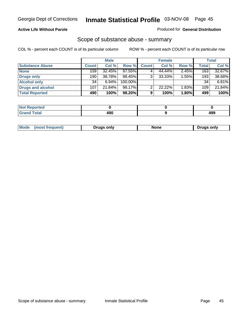## **Active Life Without Parole**

#### Produced for **General Distribution**

## Scope of substance abuse - summary

|                        |              | <b>Male</b> |            |              | <b>Female</b> |          |              | Total    |
|------------------------|--------------|-------------|------------|--------------|---------------|----------|--------------|----------|
| <b>Substance Abuse</b> | <b>Count</b> | Col %       | Row %      | <b>Count</b> | Col %         | Row %    | <b>Total</b> | Col %    |
| <b>None</b>            | 159          | 32.45%      | 97.55%     |              | 44.44%        | 2.45%    | 163          | 32.67%   |
| Drugs only             | 190          | 38.78%      | 98.45%     | 3            | 33.33%        | $1.55\%$ | 193          | 38.68%   |
| <b>Alcohol only</b>    | 34           | 6.94%       | $100.00\%$ |              |               |          | 34           | $6.81\%$ |
| Drugs and alcohol      | 107          | 21.84%      | $98.17\%$  | ◠            | 22.22%        | 1.83%    | 109          | 21.84%   |
| <b>Total Reported</b>  | 490          | 100%        | 98.20%     | 9            | 100%          | 1.80%    | 499          | 100%     |

| <b>Not Reported</b>          |     |            |
|------------------------------|-----|------------|
| <b>Total</b><br><b>Grand</b> | AQC | ៱៱៰<br>טסו |

|  | Mode<br>ונוצוווי | Druas onlv | None | only<br>Pruas . |
|--|------------------|------------|------|-----------------|
|--|------------------|------------|------|-----------------|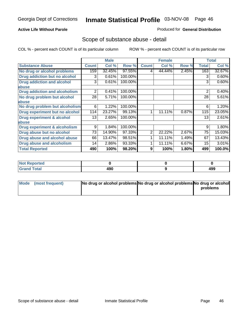### **Active Life Without Parole**

#### Produced for **General Distribution**

# Scope of substance abuse - detail

|                                         |              | <b>Male</b> |         |                | <b>Female</b> |       |              | <b>Total</b> |
|-----------------------------------------|--------------|-------------|---------|----------------|---------------|-------|--------------|--------------|
| <b>Substance Abuse</b>                  | <b>Count</b> | Col %       | Row %   | <b>Count</b>   | Col %         | Row % | <b>Total</b> | Col %        |
| No drug or alcohol problems             | 159          | 32.45%      | 97.55%  | 4              | 44.44%        | 2.45% | 163          | 32.67%       |
| Drug addiction but no alcohol           | 3            | 0.61%       | 100.00% |                |               |       | 3            | 0.60%        |
| <b>Drug addiction and alcohol</b>       | 3            | 0.61%       | 100.00% |                |               |       | 3            | 0.60%        |
| abuse                                   |              |             |         |                |               |       |              |              |
| <b>Drug addiction and alcoholism</b>    | 2            | 0.41%       | 100.00% |                |               |       | 2            | 0.40%        |
| No drug problem but alcohol             | 28           | 5.71%       | 100.00% |                |               |       | 28           | 5.61%        |
| abuse                                   |              |             |         |                |               |       |              |              |
| No drug problem but alcoholism          | 6            | 1.22%       | 100.00% |                |               |       | 6            | 1.20%        |
| Drug experiment but no alcohol          | 114          | 23.27%      | 99.13%  | 1              | 11.11%        | 0.87% | 115          | 23.05%       |
| <b>Drug experiment &amp; alcohol</b>    | 13           | 2.65%       | 100.00% |                |               |       | 13           | 2.61%        |
| abuse                                   |              |             |         |                |               |       |              |              |
| <b>Drug experiment &amp; alcoholism</b> | 9            | 1.84%       | 100.00% |                |               |       | 9            | 1.80%        |
| Drug abuse but no alcohol               | 73           | 14.90%      | 97.33%  | $\overline{2}$ | 22.22%        | 2.67% | 75           | 15.03%       |
| Drug abuse and alcohol abuse            | 66           | 13.47%      | 98.51%  |                | 11.11%        | 1.49% | 67           | 13.43%       |
| Drug abuse and alcoholism               | 14           | 2.86%       | 93.33%  |                | 11.11%        | 6.67% | 15           | 3.01%        |
| <b>Total Reported</b>                   | 490          | 100%        | 98.20%  | 9              | 100%          | 1.80% | 499          | 100.0%       |

| <b>Not Reported</b> |     |     |
|---------------------|-----|-----|
| <b>Total</b>        | ה ה | 100 |
| $\sim$              | 49U | 499 |

| Mode (most frequent) | No drug or alcohol problems No drug or alcohol problems No drug or alcohol |          |
|----------------------|----------------------------------------------------------------------------|----------|
|                      |                                                                            | problems |
|                      |                                                                            |          |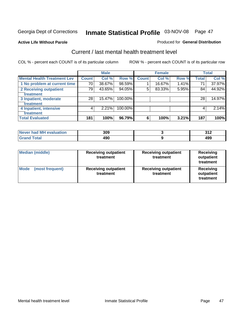#### **Active Life Without Parole**

#### Produced for **General Distribution**

# Current / last mental health treatment level

|                                    |              | <b>Male</b> |         |              | <b>Female</b> |       |              | <b>Total</b> |
|------------------------------------|--------------|-------------|---------|--------------|---------------|-------|--------------|--------------|
| <b>Mental Health Treatment Lev</b> | <b>Count</b> | Col %       | Row %   | <b>Count</b> | Col %         | Row % | <b>Total</b> | Col %        |
| 1 No problem at current time       | 70           | 38.67%      | 98.59%  |              | 16.67%        | 1.41% | 71           | 37.97%       |
| 2 Receiving outpatient             | 79           | 43.65%      | 94.05%  | 5            | 83.33%        | 5.95% | 84           | 44.92%       |
| treatment                          |              |             |         |              |               |       |              |              |
| 3 Inpatient, moderate              | 28           | 15.47%      | 100.00% |              |               |       | 28           | 14.97%       |
| treatment                          |              |             |         |              |               |       |              |              |
| 4 Inpatient, intensive             | 4            | 2.21%       | 100.00% |              |               |       | 4            | 2.14%        |
| treatment                          |              |             |         |              |               |       |              |              |
| <b>Total Evaluated</b>             | 181          | 100%        | 96.79%  | 6            | 100%          | 3.21% | 187          | 100%         |

| Never had MH evaluation | 309 | .   |
|-------------------------|-----|-----|
| Total                   | 490 | 499 |

| <b>Median (middle)</b>         | <b>Receiving outpatient</b><br>treatment |                                          | <b>Receiving</b><br>outpatient<br>treatment |
|--------------------------------|------------------------------------------|------------------------------------------|---------------------------------------------|
| <b>Mode</b><br>(most frequent) | <b>Receiving outpatient</b><br>treatment | <b>Receiving outpatient</b><br>treatment | Receiving<br>outpatient<br>treatment        |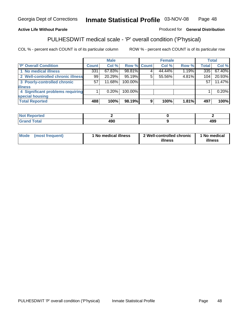## **Active Life Without Parole**

#### Produced for **General Distribution**

# PULHESDWIT medical scale - 'P' overall condition ('P'hysical)

|                                   |              | <b>Male</b> |                    |   | <b>Female</b> |       |              | <b>Total</b> |
|-----------------------------------|--------------|-------------|--------------------|---|---------------|-------|--------------|--------------|
| 'P' Overall Condition             | <b>Count</b> | Col %       | <b>Row % Count</b> |   | Col %         | Row % | <b>Total</b> | Col %        |
| 1 No medical illness              | 331          | 67.83%      | 98.81%             |   | 44.44%        | 1.19% | 335          | 67.40%       |
| 2 Well-controlled chronic illness | 99           | 20.29%      | 95.19%             | 5 | 55.56%        | 4.81% | 104          | 20.93%       |
| 3 Poorly-controlled chronic       | 57           | 11.68%      | 100.00%            |   |               |       | 57           | 11.47%       |
| <b>illness</b>                    |              |             |                    |   |               |       |              |              |
| 4 Significant problems requiring  |              | $0.20\%$    | 100.00%            |   |               |       |              | 0.20%        |
| special housing                   |              |             |                    |   |               |       |              |              |
| <b>Total Reported</b>             | 488          | 100%        | 98.19%             | 9 | 100%          | 1.81% | 497          | 100%         |

| $^{\circ}$ Not $\mathbf{F}$<br>Reported |     |     |
|-----------------------------------------|-----|-----|
| <b>Grand Total</b>                      | 490 | 499 |

| ' No medical illness<br><b>Mode</b><br>(most frequent) | 2 Well-controlled chronic<br>illness | 1 No medical<br>illness |
|--------------------------------------------------------|--------------------------------------|-------------------------|
|--------------------------------------------------------|--------------------------------------|-------------------------|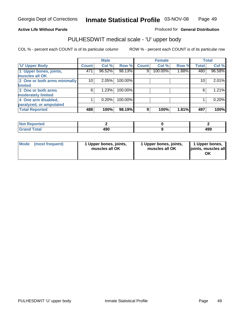## **Active Life Without Parole**

Produced for **General Distribution**

# PULHESDWIT medical scale - 'U' upper body

|                              |              | <b>Male</b> |         |              | <b>Female</b> |       |              | <b>Total</b> |
|------------------------------|--------------|-------------|---------|--------------|---------------|-------|--------------|--------------|
| <b>U' Upper Body</b>         | <b>Count</b> | Col %       | Row %   | <b>Count</b> | Col %         | Row % | <b>Total</b> | Col %        |
| 1 Upper bones, joints,       | 471          | 96.52%      | 98.13%  | 9            | 100.00%       | 1.88% | 480          | 96.58%       |
| muscles all OK               |              |             |         |              |               |       |              |              |
| 2 One or both arms minimally | 10           | 2.05%       | 100.00% |              |               |       | 10           | 2.01%        |
| limited                      |              |             |         |              |               |       |              |              |
| 3 One or both arms           | 6            | 1.23%       | 100.00% |              |               |       | 6            | 1.21%        |
| moderately limited           |              |             |         |              |               |       |              |              |
| 4 One arm disabled,          |              | 0.20%       | 100.00% |              |               |       |              | 0.20%        |
| paralyzed, or amputated      |              |             |         |              |               |       |              |              |
| <b>Total Reported</b>        | 488          | 100%        | 98.19%  | 9            | 100%          | 1.81% | 497          | 100%         |

| norted<br>NOT          |            |     |
|------------------------|------------|-----|
| <b>Total</b><br>------ | ៱ດດ<br>.JV | 499 |

|  | Mode (most frequent) | 1 Upper bones, joints,<br>muscles all OK | 1 Upper bones, joints,<br>muscles all OK | 1 Upper bones,<br>joints, muscles all<br>OK |
|--|----------------------|------------------------------------------|------------------------------------------|---------------------------------------------|
|--|----------------------|------------------------------------------|------------------------------------------|---------------------------------------------|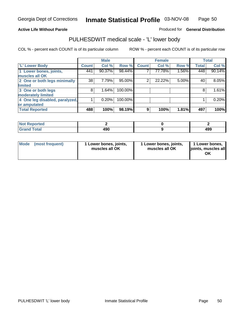#### **Active Life Without Parole**

#### Produced for **General Distribution**

# PULHESDWIT medical scale - 'L' lower body

|                                |              | <b>Male</b> |           |                | <b>Female</b> |       |              | <b>Total</b> |
|--------------------------------|--------------|-------------|-----------|----------------|---------------|-------|--------------|--------------|
| <b>L' Lower Body</b>           | <b>Count</b> | Col %       | Row %     | <b>Count</b>   | Col %         | Row % | <b>Total</b> | Col %        |
| 1 Lower bones, joints,         | 441          | 90.37%      | 98.44%    |                | 77.78%        | 1.56% | 448          | 90.14%       |
| muscles all OK                 |              |             |           |                |               |       |              |              |
| 2 One or both legs minimally   | 38           | 7.79%       | $95.00\%$ | $\overline{2}$ | 22.22%        | 5.00% | 40           | 8.05%        |
| limited                        |              |             |           |                |               |       |              |              |
| 3 One or both legs             | 8            | 1.64%       | 100.00%   |                |               |       | 8            | 1.61%        |
| moderately limited             |              |             |           |                |               |       |              |              |
| 4 One leg disabled, paralyzed, |              | 0.20%       | 100.00%   |                |               |       |              | 0.20%        |
| or amputated                   |              |             |           |                |               |       |              |              |
| <b>Total Reported</b>          | 488          | 100%        | 98.19%    | 9              | 100%          | 1.81% | 497          | 100%         |

| <b>rted</b><br>'N I                    |            |     |
|----------------------------------------|------------|-----|
| $f$ $f \circ f \circ f$<br>l Ulai<br>. | ៱ດດ<br>7JV | 499 |

|  | Mode (most frequent) | 1 Lower bones, joints,<br>muscles all OK | 1 Lower bones, joints,<br>muscles all OK | 1 Lower bones,<br>joints, muscles all<br>OK |
|--|----------------------|------------------------------------------|------------------------------------------|---------------------------------------------|
|--|----------------------|------------------------------------------|------------------------------------------|---------------------------------------------|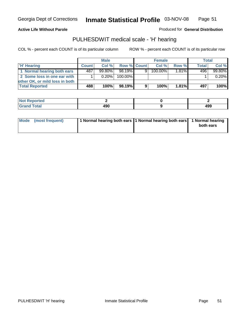#### **Active Life Without Parole**

Produced for **General Distribution**

# PULHESDWIT medical scale - 'H' hearing

|                                |              | <b>Male</b> |             |   | <b>Female</b> |          | Total        |         |
|--------------------------------|--------------|-------------|-------------|---|---------------|----------|--------------|---------|
| 'H' Hearing                    | <b>Count</b> | Col%        | Row % Count |   | Col%          | Row %    | <b>Total</b> | Col %   |
| 1 Normal hearing both ears     | 487          | $99.80\%$   | 98.19%      | 9 | 100.00%       | $1.81\%$ | 496          | 99.80%  |
| 2 Some loss in one ear with    |              | $0.20\%$    | 100.00%     |   |               |          |              | 0.20%   |
| other OK, or mild loss in both |              |             |             |   |               |          |              |         |
| <b>Total Reported</b>          | 488          | 100%        | 98.19%      | 9 | 100%          | 1.81%    | 497          | $100\%$ |

| тео |         |     |
|-----|---------|-----|
| --- | .<br>__ | 499 |

| Mode (most frequent) | 1 Normal hearing both ears 1 Normal hearing both ears 1 Normal hearing | both ears |
|----------------------|------------------------------------------------------------------------|-----------|
|                      |                                                                        |           |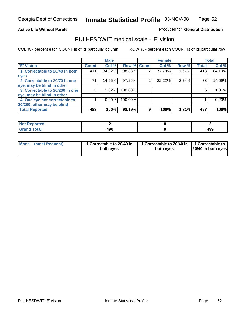#### **Active Life Without Parole**

#### Produced for **General Distribution**

# PULHESDWIT medical scale - 'E' vision

|                                |       | <b>Male</b> |             |   | <b>Female</b> |       |              | <b>Total</b> |
|--------------------------------|-------|-------------|-------------|---|---------------|-------|--------------|--------------|
| <b>E' Vision</b>               | Count | Col %       | Row % Count |   | Col %         | Row % | <b>Total</b> | Col %        |
| 1 Correctable to 20/40 in both | 411   | 84.22%      | 98.33%      |   | 77.78%        | 1.67% | 418          | 84.10%       |
| eyes                           |       |             |             |   |               |       |              |              |
| 2 Correctable to 20/70 in one  | 71    | 14.55%      | 97.26%      | 2 | 22.22%        | 2.74% | 73           | 14.69%       |
| eye, may be blind in other     |       |             |             |   |               |       |              |              |
| 3 Correctable to 20/200 in one | 5.    | 1.02%       | 100.00%     |   |               |       | 5            | 1.01%        |
| eye, may be blind in other     |       |             |             |   |               |       |              |              |
| 4 One eye not correctable to   |       | 0.20%       | 100.00%     |   |               |       |              | 0.20%        |
| 20/200, other may be blind     |       |             |             |   |               |       |              |              |
| <b>Total Reported</b>          | 488   | 100%        | 98.19%      | 9 | 100%          | 1.81% | 497          | 100%         |

| <b>Not Reported</b> |     |            |
|---------------------|-----|------------|
| <b>Total</b>        | 490 | 400<br>493 |

| Mode (most frequent) | 1 Correctable to 20/40 in<br>both eves | 1 Correctable to 20/40 in   1 Correctable to  <br>both eves | 20/40 in both eyes |
|----------------------|----------------------------------------|-------------------------------------------------------------|--------------------|
|----------------------|----------------------------------------|-------------------------------------------------------------|--------------------|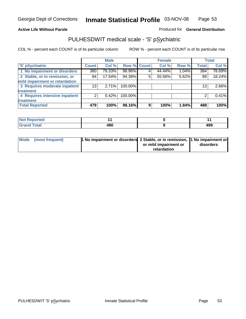## **Active Life Without Parole**

## Produced for **General Distribution**

# PULHESDWIT medical scale - 'S' pSychiatric

|                                |              | <b>Male</b> |             |   | <b>Female</b> |       |              | <b>Total</b> |
|--------------------------------|--------------|-------------|-------------|---|---------------|-------|--------------|--------------|
| 'S' pSychiatric                | <b>Count</b> | Col %       | Row % Count |   | Col %         | Row % | <b>Total</b> | Col %        |
| 1 No impairment or disorders   | 380          | 79.33%      | 98.96%      |   | 44.44%        | 1.04% | 384          | 78.69%       |
| 2 Stable, or in remission, or  | 84           | 17.54%      | 94.38%      | 5 | 55.56%        | 5.62% | 89           | 18.24%       |
| mild impairment or retardation |              |             |             |   |               |       |              |              |
| 3 Requires moderate inpatient  | 13           | 2.71%       | 100.00%     |   |               |       | 13           | 2.66%        |
| treatment                      |              |             |             |   |               |       |              |              |
| 4 Requires intensive inpatient | 2            | $0.42\%$    | 100.00%     |   |               |       |              | 0.41%        |
| treatment                      |              |             |             |   |               |       |              |              |
| <b>Total Reported</b>          | 479          | 100%        | 98.16%      | 9 | 100%          | 1.84% | 488          | 100%         |

| orted        |     |     |
|--------------|-----|-----|
| <b>Total</b> | 490 | 499 |

| Mode (most frequent) | 1 No impairment or disorders 2 Stable, or in remission, 11 No impairment or |                       |           |
|----------------------|-----------------------------------------------------------------------------|-----------------------|-----------|
|                      |                                                                             | or mild impairment or | disorders |
|                      |                                                                             | retardation           |           |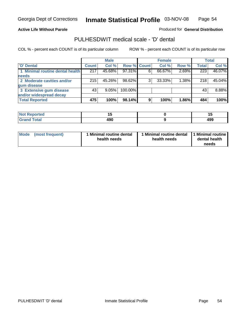#### **Active Life Without Parole**

Produced for **General Distribution**

# PULHESDWIT medical scale - 'D' dental

|                                 |       | <b>Male</b> |             |   | <b>Female</b> |       |              | <b>Total</b> |
|---------------------------------|-------|-------------|-------------|---|---------------|-------|--------------|--------------|
| <b>D'</b> Dental                | Count | Col %       | Row % Count |   | Col %         | Row % | <b>Total</b> | Col %        |
| 1 Minimal routine dental health | 217   | 45.68%      | 97.31%      |   | 66.67%        | 2.69% | 223          | 46.07%       |
| <b>needs</b>                    |       |             |             |   |               |       |              |              |
| 2 Moderate cavities and/or      | 215   | 45.26%      | 98.62%      |   | 33.33%        | 1.38% | 218          | 45.04%       |
| gum disease                     |       |             |             |   |               |       |              |              |
| 3 Extensive gum disease         | 43    | $9.05\%$    | 100.00%     |   |               |       | 43           | 8.88%        |
| and/or widespread decay         |       |             |             |   |               |       |              |              |
| <b>Total Reported</b>           | 475   | 100%        | 98.14%      | 9 | 100%          | 1.86% | 484          | 100%         |

| ----<br>neo<br>N | . .<br>$-$         |     |
|------------------|--------------------|-----|
| ______           | 0۵۸<br>494<br>$ -$ | 499 |

| Mode (most frequent) | <b>Minimal routine dental</b><br>health needs | 1 Minimal routine dental<br>health needs | 1 Minimal routine<br>dental health<br>needs |
|----------------------|-----------------------------------------------|------------------------------------------|---------------------------------------------|
|----------------------|-----------------------------------------------|------------------------------------------|---------------------------------------------|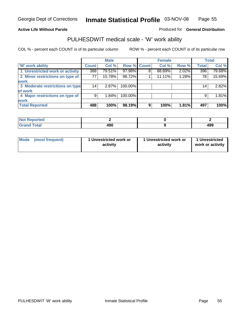#### **Active Life Without Parole**

#### Produced for **General Distribution**

# PULHESDWIT medical scale - 'W' work ability

|                                 |              | <b>Male</b> |             |   | <b>Female</b> |       |                 | <b>Total</b> |
|---------------------------------|--------------|-------------|-------------|---|---------------|-------|-----------------|--------------|
| <b>W' work ability</b>          | <b>Count</b> | Col %       | Row % Count |   | Col %         | Row % | <b>Total</b>    | Col %        |
| 1 Unrestricted work or activity | 388          | 79.51%      | 97.98%      | 8 | 88.89%        | 2.02% | 396             | 79.68%       |
| 2 Minor restrictions on type of | 77           | 15.78%      | 98.72%      |   | 11.11%        | 1.28% | 78              | 15.69%       |
| work                            |              |             |             |   |               |       |                 |              |
| 3 Moderate restrictions on type | 14           | $2.87\%$    | 100.00%     |   |               |       | 14 <sub>1</sub> | 2.82%        |
| of work                         |              |             |             |   |               |       |                 |              |
| 4 Major restrictions on type of | 9            | 1.84%       | 100.00%     |   |               |       | 9               | 1.81%        |
| <b>work</b>                     |              |             |             |   |               |       |                 |              |
| <b>Total Reported</b>           | 488          | 100%        | 98.19%      | 9 | 100%          | 1.81% | 497             | 100%         |

| <b>orted</b><br>NO1                     |            |            |
|-----------------------------------------|------------|------------|
| $F \wedge f \wedge f$<br>otal<br>------ | 0۵۸<br>43U | 400<br>499 |

| Mode (most frequent) | 1 Unrestricted work or<br>activity | 1 Unrestricted work or<br>activity | 1 Unrestricted<br>work or activity |
|----------------------|------------------------------------|------------------------------------|------------------------------------|
|                      |                                    |                                    |                                    |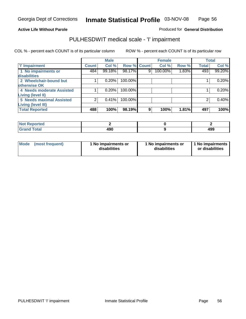#### **Active Life Without Parole**

## Produced for **General Distribution**

# PULHESDWIT medical scale - 'I' impairment

|                                                      |              | <b>Male</b> |             |   | <b>Female</b> |       |              | <b>Total</b> |
|------------------------------------------------------|--------------|-------------|-------------|---|---------------|-------|--------------|--------------|
| <b>T' Impairment</b>                                 | <b>Count</b> | Col %       | Row % Count |   | Col %         | Row % | <b>Total</b> | Col %        |
| 1 No impairments or<br><b>disabilities</b>           | 484          | 99.18%      | 98.17%      | 9 | 100.00%       | 1.83% | 493          | 99.20%       |
| 2 Wheelchair-bound but<br>otherwise OK               |              | 0.20%       | 100.00%     |   |               |       |              | 0.20%        |
| 4 Needs moderate Assisted                            |              | 0.20%       | 100.00%     |   |               |       |              | 0.20%        |
| <b>Living (level II)</b><br>5 Needs maximal Assisted |              | 0.41%       | 100.00%     |   |               |       |              | 0.40%        |
| <b>Living (level III)</b>                            |              |             |             |   |               |       |              |              |
| <b>Total Reported</b>                                | 488          | 100%        | 98.19%      | 9 | 100%          | 1.81% | 497          | 100%         |

| Reported                           |     |     |
|------------------------------------|-----|-----|
| <b>Total</b><br>"Gran <sub>"</sub> | 490 | 499 |

| <b>Mode</b> | (most frequent) | 1 No impairments or<br>disabilities | 1 No impairments or<br>disabilities | 1 No impairments  <br>or disabilities |
|-------------|-----------------|-------------------------------------|-------------------------------------|---------------------------------------|
|-------------|-----------------|-------------------------------------|-------------------------------------|---------------------------------------|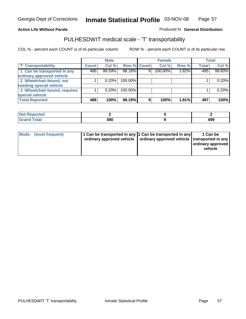#### **Inmate Statistical Profile** 03-NOV-08 Page Page 57

## **Active Life Without Parole Produced fo Seneral Distribution**

# PULHESDWIT medical scale - 'T' transportability

|                              |              | <b>Male</b> |                    |   | <b>Female</b> |       |              | <b>Total</b> |
|------------------------------|--------------|-------------|--------------------|---|---------------|-------|--------------|--------------|
| <b>T' Transportability</b>   | <b>Count</b> | Col %       | <b>Row % Count</b> |   | Col %         | Row % | <b>Total</b> | Col %        |
| 1 Can be transported in any  | 486          | 99.59%      | 98.18%             | 9 | 100.00%       | 1.82% | 495          | 99.60%       |
| ordinary approved vehicle    |              |             |                    |   |               |       |              |              |
| 2 Wheelchair-bound, not      |              | 0.20%       | 100.00%            |   |               |       |              | 0.20%        |
| needing special vehicle      |              |             |                    |   |               |       |              |              |
| 3 Wheelchair-bound, requires |              | 0.20%       | 100.00%            |   |               |       |              | 0.20%        |
| special vehicle              |              |             |                    |   |               |       |              |              |
| <b>Total Reported</b>        | 488          | 100%        | 98.19%             | 9 | 100%          | 1.81% | 497          | 100%         |

| <b>Reported</b><br><b>NOT</b> |            |           |
|-------------------------------|------------|-----------|
| <b>Total</b>                  | ה ה<br>43U | 49°<br>__ |

| Mode (most frequent) | 1 Can be transported in any 1 Can be transported in any | ordinary approved vehicle   ordinary approved vehicle   transported in any | 1 Can be<br>  ordinary approved  <br>vehicle |
|----------------------|---------------------------------------------------------|----------------------------------------------------------------------------|----------------------------------------------|
|----------------------|---------------------------------------------------------|----------------------------------------------------------------------------|----------------------------------------------|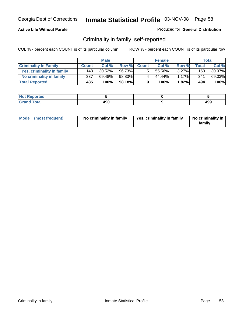## **Active Life Without Parole**

#### Produced for **General Distribution**

# Criminality in family, self-reported

|                              |              | <b>Male</b> |        |              | <b>Female</b> |          |       | Total  |
|------------------------------|--------------|-------------|--------|--------------|---------------|----------|-------|--------|
| <b>Criminality In Family</b> | <b>Count</b> | Col %       | Row %  | <b>Count</b> | Col %         | Row %    | Total | Col %  |
| Yes, criminality in family   | 148          | 30.52%      | 96.73% |              | 55.56%        | $3.27\%$ | 153   | 30.97% |
| No criminality in family     | 337          | 69.48%      | 98.83% | 4            | 44.44%        | $1.17\%$ | 341   | 69.03% |
| <b>Total Reported</b>        | 485          | 100%        | 98.18% | 9            | 100%          | $1.82\%$ | 494   | 100%   |

| ported<br><b>NOT</b><br><b>IJCK</b> |            |     |
|-------------------------------------|------------|-----|
| <b>otal</b><br>Gran<br>$\sim$       | חהו<br>49U | 499 |

| Mode (most frequent) | No criminality in family | Yes, criminality in family | No criminality in<br>family |
|----------------------|--------------------------|----------------------------|-----------------------------|
|----------------------|--------------------------|----------------------------|-----------------------------|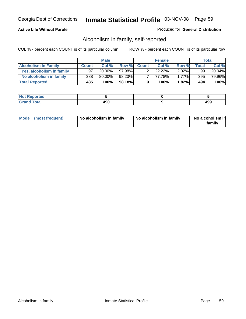## **Active Life Without Parole**

#### Produced for **General Distribution**

# Alcoholism in family, self-reported

|                             |              | <b>Male</b> |        |              | <b>Female</b> |          |       | Total  |
|-----------------------------|--------------|-------------|--------|--------------|---------------|----------|-------|--------|
| <b>Alcoholism In Family</b> | <b>Count</b> | Col %       | Row %  | <b>Count</b> | Col %         | Row %    | Total | Col %  |
| Yes, alcoholism in family   | 97           | $20.00\%$   | 97.98% |              | 22.22%        | $2.02\%$ | 99    | 20.04% |
| No alcoholism in family     | 388          | 80.00%      | 98.23% |              | 77.78%        | $1.77\%$ | 395   | 79.96% |
| <b>Total Reported</b>       | 485          | 100%        | 98.18% | 9            | 100%          | $1.82\%$ | 494   | 100%   |

| ported<br><b>NOT</b><br><b>IJAN</b> |     |            |
|-------------------------------------|-----|------------|
| <b>c</b> otal<br>Gran<br>--         | 490 | ה ה<br>433 |

|  | Mode (most frequent) | No alcoholism in family | No alcoholism in family | No alcoholism in<br>family |
|--|----------------------|-------------------------|-------------------------|----------------------------|
|--|----------------------|-------------------------|-------------------------|----------------------------|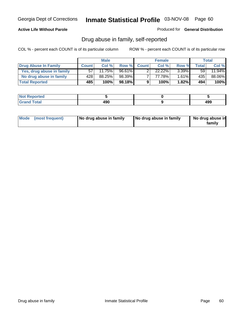## **Active Life Without Parole**

Produced for **General Distribution**

# Drug abuse in family, self-reported

|                           |              | <b>Male</b> |           |              | <b>Female</b> |          |       | <b>Total</b> |
|---------------------------|--------------|-------------|-----------|--------------|---------------|----------|-------|--------------|
| Drug Abuse In Family      | <b>Count</b> | Col %       | Row %     | <b>Count</b> | Col %         | Row %    | Total | Col %        |
| Yes, drug abuse in family | 57           | 11.75%      | $96.61\%$ |              | $22.22\%$     | $3.39\%$ | 59    | 11.94%       |
| No drug abuse in family   | 428          | 88.25%      | 98.39%    |              | 77.78%        | $1.61\%$ | 435   | 88.06%       |
| <b>Total Reported</b>     | 485          | 100%        | 98.18%    | 9            | 100%          | 1.82%    | 494   | 100%         |

| oorted<br><b>NOT</b><br>יסרו. |     |            |
|-------------------------------|-----|------------|
| $\sim$<br>Gran<br>$\sim$      | 490 | 100<br>433 |

|  | Mode (most frequent) | No drug abuse in family | No drug abuse in family | No drug abuse in<br>family |
|--|----------------------|-------------------------|-------------------------|----------------------------|
|--|----------------------|-------------------------|-------------------------|----------------------------|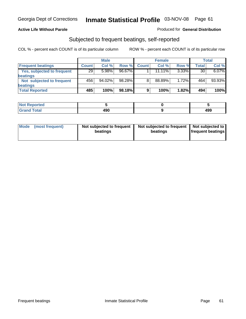#### **Active Life Without Parole**

#### Produced for **General Distribution**

# Subjected to frequent beatings, self-reported

|                            |              | <b>Male</b> |        |              | <b>Female</b> |          |       | <b>Total</b> |
|----------------------------|--------------|-------------|--------|--------------|---------------|----------|-------|--------------|
| <b>Frequent beatings</b>   | <b>Count</b> | Col%        | Row %  | <b>Count</b> | Col%          | Row %    | Total | Col %        |
| Yes, subjected to frequent | 29           | 5.98%       | 96.67% |              | $11.11\%$     | $3.33\%$ | 30    | 6.07%        |
| <b>beatings</b>            |              |             |        |              |               |          |       |              |
| Not subjected to frequent  | 456          | 94.02%      | 98.28% | 8            | 88.89%        | 1.72%    | 464   | 93.93%       |
| <b>beatings</b>            |              |             |        |              |               |          |       |              |
| <b>Total Reported</b>      | 485          | 100%        | 98.18% | 9            | 100%          | 1.82%    | 494   | 100%         |

| <b>Not Reported</b> |     |     |
|---------------------|-----|-----|
| <b>Grond Total</b>  | 490 | 499 |

| Mode<br>(most frequent) | beatings | Not subjected to frequent | Not subjected to frequent<br>beatings | Not subjected to<br><b>frequent beatings</b> |
|-------------------------|----------|---------------------------|---------------------------------------|----------------------------------------------|
|                         |          |                           |                                       |                                              |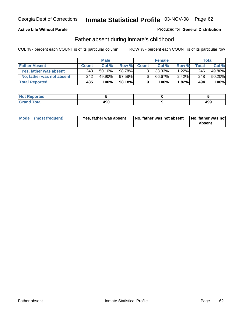## **Active Life Without Parole**

#### Produced for **General Distribution**

# Father absent during inmate's childhood

|                           | <b>Male</b>  |           |         | <b>Female</b>  |        |          | Total |        |
|---------------------------|--------------|-----------|---------|----------------|--------|----------|-------|--------|
| <b>Father Absent</b>      | <b>Count</b> | Col%      | Row %   | <b>Count</b>   | Col %  | Row %    | Total | Col %  |
| Yes, father was absent    | 243          | $50.10\%$ | 98.78%  | 3 <sub>1</sub> | 33.33% | $1.22\%$ | 246   | 49.80% |
| No, father was not absent | 242          | 49.90%    | 97.58%∎ | $6^{\circ}$    | 66.67% | $2.42\%$ | 248   | 50.20% |
| <b>Total Reported</b>     | 485          | 100%      | 98.18%I | 9              | 100%   | $1.82\%$ | 494   | 100%   |

| <b>Not Reported</b>   |           |     |
|-----------------------|-----------|-----|
| <b>Total</b><br>Grano | 490<br>__ | 499 |

| Mode (most frequent) | Yes, father was absent | No, father was not absent No, father was not | absent |
|----------------------|------------------------|----------------------------------------------|--------|
|                      |                        |                                              |        |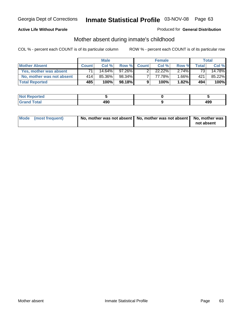## **Active Life Without Parole**

#### Produced for **General Distribution**

# Mother absent during inmate's childhood

|                           |              | <b>Male</b> |           |              | <b>Female</b> |          |                 | Total  |
|---------------------------|--------------|-------------|-----------|--------------|---------------|----------|-----------------|--------|
| <b>Mother Absent</b>      | <b>Count</b> | Col %       | Row %     | <b>Count</b> | Col %         | Row %    | Total           | Col %  |
| Yes, mother was absent    |              | 14.64%      | $97.26\%$ | ົ            | 22.22%        | $2.74\%$ | 73 <sub>1</sub> | 14.78% |
| No, mother was not absent | 414          | 85.36%      | 98.34%    |              | 77.78%        | 1.66%    | 421             | 85.22% |
| <b>Total Reported</b>     | 485          | 100%        | 98.18%    | 9            | 100%          | 1.82%    | 494             | 100%   |

| <b>Not Reported</b>   |     |            |
|-----------------------|-----|------------|
| <b>Total</b><br>Grand | 490 | 10C<br>493 |

| Mode (most frequent) | No, mother was not absent   No, mother was not absent   No, mother was | not absent |
|----------------------|------------------------------------------------------------------------|------------|
|----------------------|------------------------------------------------------------------------|------------|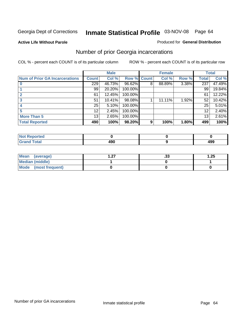**Active Life Without Parole** 

#### Produced for **General Distribution**

# Number of prior Georgia incarcerations

|                                       |              | <b>Male</b> |                    |   | <b>Female</b> |       |       | <b>Total</b> |
|---------------------------------------|--------------|-------------|--------------------|---|---------------|-------|-------|--------------|
| <b>Num of Prior GA Incarcerations</b> | <b>Count</b> | Col %       | <b>Row % Count</b> |   | Col %         | Row % | Total | Col %        |
|                                       | 229          | 46.73%      | 96.62%             | 8 | 88.89%        | 3.38% | 237   | 47.49%       |
|                                       | 99           | 20.20%      | 100.00%            |   |               |       | 99    | 19.84%       |
|                                       | 61           | 12.45%      | 100.00%            |   |               |       | 61    | 12.22%       |
| 3                                     | 51           | 10.41%      | 98.08%             |   | 11.11%        | 1.92% | 52    | 10.42%       |
|                                       | 25           | 5.10%       | 100.00%            |   |               |       | 25    | 5.01%        |
|                                       | 12           | 2.45%       | 100.00%            |   |               |       | 12    | 2.40%        |
| <b>More Than 5</b>                    | 13           | 2.65%       | 100.00%            |   |               |       | 13    | 2.61%        |
| <b>Total Reported</b>                 | 490          | 100%        | 98.20%             | 9 | 100%          | 1.80% | 499   | 100%         |

| <b>Reported</b><br><b>NOT</b><br> |      |     |
|-----------------------------------|------|-----|
| <b>Total</b>                      | . מח | 499 |

| Mean (average)       | - 27<br>. . <i>.</i> . | . JJ | 1.25 |
|----------------------|------------------------|------|------|
| Median (middle)      |                        |      |      |
| Mode (most frequent) |                        |      |      |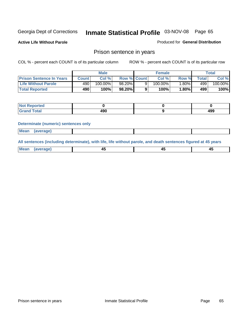**Active Life Without Parole** 

Produced for **General Distribution**

## Prison sentence in years

COL % - percent each COUNT is of its particular column ROW % - percent each COUNT is of its particular row

|                                 | Male   |            |                    | <b>Female</b> |         |         | Total       |         |
|---------------------------------|--------|------------|--------------------|---------------|---------|---------|-------------|---------|
| <b>Prison Sentence In Years</b> | Count⊺ | Col %      | <b>Row % Count</b> |               | Col %1  | Row %   | $\tau$ otal | Col %   |
| Life Without Parole             | 490    | $100.00\%$ | 98.20%             |               | 100.00% | $.80\%$ | 499         | 100.00% |
| <b>Total Reported</b>           | 490    | 100%       | 98.20%             |               | 100%    | 1.80%   | 499'        | 100%    |

| <b>Reported</b>  |      |     |
|------------------|------|-----|
| <b>Total</b>     | ח ח  | 0۵۸ |
| $\mathsf{C}$ and | 43 U | 495 |

#### **Determinate (numeric) sentences only**

| <b>Mean</b> | (average) |  |  |
|-------------|-----------|--|--|

**All sentences (including determinate), with life, life without parole, and death sentences figured at 45 years**

| Me:<br>anei<br>.<br>᠇<br>$\sim$ | -- | т.<br>$\sim$ |
|---------------------------------|----|--------------|
|---------------------------------|----|--------------|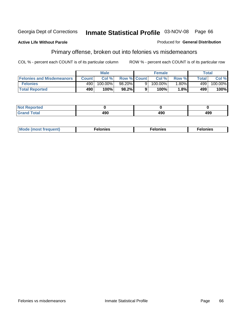#### **Active Life Without Parole**

#### Produced for **General Distribution**

# Primary offense, broken out into felonies vs misdemeanors

|                                  | <b>Male</b>  |         |                    | <b>Female</b> |            |         | Total        |            |
|----------------------------------|--------------|---------|--------------------|---------------|------------|---------|--------------|------------|
| <b>Felonies and Misdemeanors</b> | <b>Count</b> | Col%    | <b>Row % Count</b> |               | Col %      | Row %   | <b>Total</b> | Col %      |
| <b>Felonies</b>                  | 490          | 100.00% | 98.20%             |               | $100.00\%$ | $.80\%$ | 499          | $100.00\%$ |
| <b>Total Reported</b>            | 490          | 100%    | 98.2%              |               | 100%       | 1.8%    | 499          | 100%       |

| <b>Not Reported</b> |    |     |     |
|---------------------|----|-----|-----|
| <b>Total</b>        | .  | "^^ | 499 |
| Grand               | юu | 1JV |     |

| M <sub>0</sub><br>. | צאור<br>. | . |
|---------------------|-----------|---|
|---------------------|-----------|---|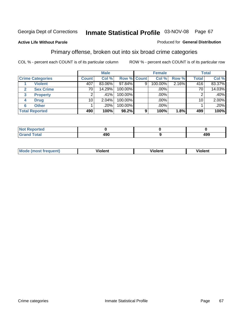#### **Active Life Without Parole**

#### Produced for **General Distribution**

# Primary offense, broken out into six broad crime categories

|                         | <b>Male</b>  |         |             | <b>Female</b> |         |       | <b>Total</b> |         |
|-------------------------|--------------|---------|-------------|---------------|---------|-------|--------------|---------|
| <b>Crime Categories</b> | <b>Count</b> | Col %   | Row % Count |               | Col %   | Row % | <b>Total</b> | Col %   |
| <b>Violent</b>          | 407          | 83.06%  | $97.84\%$   | 9             | 100.00% | 2.16% | 416          | 83.37%  |
| <b>Sex Crime</b>        | 70           | 14.29%  | 100.00%     |               | .00%    |       | 70           | 14.03%  |
| <b>Property</b><br>3    |              | $.41\%$ | 100.00%     |               | .00%    |       |              | $.40\%$ |
| <b>Drug</b><br>4        | 10           | 2.04%   | 100.00%     |               | .00%    |       | 10           | 2.00%   |
| <b>Other</b><br>6       |              | .20%    | 100.00%     |               | .00%    |       |              | .20%    |
| <b>Total Reported</b>   | 490          | 100%    | 98.2%       | 9             | 100%    | 1.8%  | 499          | 100%    |

| Reported<br>$\sim$             |     |     |
|--------------------------------|-----|-----|
| <b>Total</b><br>$\blacksquare$ | 490 | 499 |

| Mo | n n | winlor" | ılen' |
|----|-----|---------|-------|
|    |     |         |       |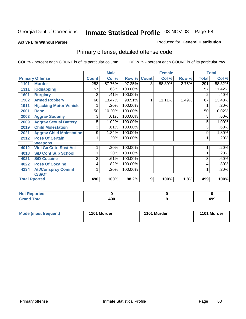#### **Active Life Without Parole**

#### Produced for **General Distribution**

# Primary offense, detailed offense code

|      |                                 |              | <b>Male</b> |         |              | <b>Female</b> |       |              | <b>Total</b> |
|------|---------------------------------|--------------|-------------|---------|--------------|---------------|-------|--------------|--------------|
|      | <b>Primary Offense</b>          | <b>Count</b> | Col %       | Row %   | <b>Count</b> | Col %         | Row % | <b>Total</b> | Col %        |
| 1101 | <b>Murder</b>                   | 283          | 57.76%      | 97.25%  | 8            | 88.89%        | 2.75% | 291          | 58.32%       |
| 1311 | <b>Kidnapping</b>               | 57           | 11.63%      | 100.00% |              |               |       | 57           | 11.42%       |
| 1601 | <b>Burglary</b>                 | 2            | .41%        | 100.00% |              |               |       | 2            | .40%         |
| 1902 | <b>Armed Robbery</b>            | 66           | 13.47%      | 98.51%  | 1            | 11.11%        | 1.49% | 67           | 13.43%       |
| 1911 | <b>Hijacking Motor Vehicle</b>  |              | .20%        | 100.00% |              |               |       |              | .20%         |
| 2001 | Rape                            | 50           | 10.20%      | 100.00% |              |               |       | 50           | 10.02%       |
| 2003 | <b>Aggrav Sodomy</b>            | 3            | .61%        | 100.00% |              |               |       | 3            | .60%         |
| 2009 | <b>Aggrav Sexual Battery</b>    | 5            | 1.02%       | 100.00% |              |               |       | 5            | 1.00%        |
| 2019 | <b>Child Molestation</b>        | 3            | .61%        | 100.00% |              |               |       | 3            | .60%         |
| 2021 | <b>Aggrav Child Molestation</b> | 9            | 1.84%       | 100.00% |              |               |       | 9            | 1.80%        |
| 2912 | <b>Poss Of Certain</b>          |              | .20%        | 100.00% |              |               |       |              | .20%         |
|      | <b>Weapons</b>                  |              |             |         |              |               |       |              |              |
| 4012 | <b>Viol Ga Cntrl Sbst Act</b>   |              | .20%        | 100.00% |              |               |       |              | .20%         |
| 4018 | <b>S/D Cont Sub School</b>      |              | .20%        | 100.00% |              |               |       |              | .20%         |
| 4021 | <b>S/D Cocaine</b>              | 3            | .61%        | 100.00% |              |               |       | 3            | .60%         |
| 4022 | <b>Poss Of Cocaine</b>          | 4            | .82%        | 100.00% |              |               |       | 4            | .80%         |
| 4134 | <b>Att/Consprcy Commt</b>       | 1            | .20%        | 100.00% |              |               |       | 1            | .20%         |
|      | C/S/Of                          |              |             |         |              |               |       |              |              |
|      | <b>Total Rported</b>            | 490          | 100%        | 98.2%   | 9            | 100%          | 1.8%  | 499          | 100%         |

| <b>Not Reported</b> |     |            |
|---------------------|-----|------------|
| <b>Total</b>        | 490 | 10C<br>493 |

| Mode (most frequent) | 1101 Murder | 1101 Murder | 1101 Murder |
|----------------------|-------------|-------------|-------------|
|----------------------|-------------|-------------|-------------|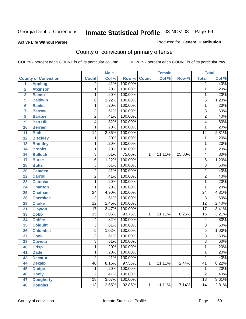**Active Life Without Parole** 

#### Produced for **General Distribution**

# County of conviction of primary offense

|                         |                             |                 | <b>Male</b> |         |              | <b>Female</b> |        |                 | <b>Total</b> |
|-------------------------|-----------------------------|-----------------|-------------|---------|--------------|---------------|--------|-----------------|--------------|
|                         | <b>County of Conviction</b> | <b>Count</b>    | Col %       | Row %   | <b>Count</b> | Col %         | Row %  | <b>Total</b>    | Col %        |
| 1                       | <b>Appling</b>              | $\overline{2}$  | .41%        | 100.00% |              |               |        | $\overline{2}$  | .40%         |
| $\overline{2}$          | <b>Atkinson</b>             | 1               | .20%        | 100.00% |              |               |        | 1               | .20%         |
| $\overline{\mathbf{3}}$ | <b>Bacon</b>                | $\mathbf 1$     | .20%        | 100.00% |              |               |        | 1               | .20%         |
| 5                       | <b>Baldwin</b>              | $\overline{6}$  | 1.22%       | 100.00% |              |               |        | 6               | 1.20%        |
| 6                       | <b>Banks</b>                | 1               | .20%        | 100.00% |              |               |        | 1               | .20%         |
| $\overline{7}$          | <b>Barrow</b>               | $\overline{3}$  | .61%        | 100.00% |              |               |        | $\overline{3}$  | .60%         |
| 8                       | <b>Bartow</b>               | $\overline{2}$  | .41%        | 100.00% |              |               |        | $\overline{2}$  | .40%         |
| 9                       | <b>Ben Hill</b>             | 4               | .82%        | 100.00% |              |               |        | 4               | .80%         |
| 10                      | <b>Berrien</b>              | 1               | .20%        | 100.00% |              |               |        | 1               | .20%         |
| 11                      | <b>Bibb</b>                 | $\overline{14}$ | 2.86%       | 100.00% |              |               |        | 14              | 2.81%        |
| 12                      | <b>Bleckley</b>             | 1               | .20%        | 100.00% |              |               |        | 1               | .20%         |
| 13                      | <b>Brantley</b>             | 1               | .20%        | 100.00% |              |               |        | 1               | .20%         |
| 14                      | <b>Brooks</b>               | 1               | .20%        | 100.00% |              |               |        | 1               | .20%         |
| 16                      | <b>Bulloch</b>              | $\overline{3}$  | .61%        | 75.00%  | 1            | 11.11%        | 25.00% | 4               | .80%         |
| 17                      | <b>Burke</b>                | $\overline{6}$  | 1.22%       | 100.00% |              |               |        | $\overline{6}$  | 1.20%        |
| 18                      | <b>Butts</b>                | $\overline{3}$  | .61%        | 100.00% |              |               |        | $\overline{3}$  | .60%         |
| 20                      | <b>Camden</b>               | $\overline{2}$  | .41%        | 100.00% |              |               |        | $\overline{2}$  | .40%         |
| 22                      | <b>Carroll</b>              | $\overline{2}$  | .41%        | 100.00% |              |               |        | $\overline{2}$  | .40%         |
| 23                      | <b>Catoosa</b>              | 1               | .20%        | 100.00% |              |               |        | 1               | .20%         |
| 24                      | <b>Charlton</b>             | 1               | .20%        | 100.00% |              |               |        | 1               | .20%         |
| 25                      | <b>Chatham</b>              | $\overline{24}$ | 4.90%       | 100.00% |              |               |        | $\overline{24}$ | 4.81%        |
| 28                      | <b>Cherokee</b>             | $\overline{3}$  | .61%        | 100.00% |              |               |        | $\overline{3}$  | .60%         |
| 29                      | <b>Clarke</b>               | $\overline{12}$ | 2.45%       | 100.00% |              |               |        | $\overline{12}$ | 2.40%        |
| 31                      | <b>Clayton</b>              | $\overline{17}$ | 3.47%       | 100.00% |              |               |        | $\overline{17}$ | 3.41%        |
| 33                      | <b>Cobb</b>                 | $\overline{15}$ | 3.06%       | 93.75%  | 1            | 11.11%        | 6.25%  | 16              | 3.21%        |
| 34                      | <b>Coffee</b>               | 4               | .82%        | 100.00% |              |               |        | 4               | .80%         |
| 35                      | <b>Colquitt</b>             | $\overline{3}$  | .61%        | 100.00% |              |               |        | $\overline{3}$  | .60%         |
| 36                      | <b>Columbia</b>             | $\overline{5}$  | 1.02%       | 100.00% |              |               |        | $\overline{5}$  | 1.00%        |
| 37                      | <b>Cook</b>                 | $\overline{3}$  | .61%        | 100.00% |              |               |        | $\overline{3}$  | .60%         |
| 38                      | <b>Coweta</b>               | $\overline{3}$  | .61%        | 100.00% |              |               |        | $\overline{3}$  | .60%         |
| 40                      | <b>Crisp</b>                | 1               | .20%        | 100.00% |              |               |        | 1               | .20%         |
| 41                      | <b>Dade</b>                 | 1               | .20%        | 100.00% |              |               |        | 1               | .20%         |
| 43                      | <b>Decatur</b>              | $\overline{2}$  | .41%        | 100.00% |              |               |        | $\overline{2}$  | .40%         |
| 44                      | <b>Dekalb</b>               | 40              | 8.16%       | 97.56%  | 1            | 11.11%        | 2.44%  | $\overline{41}$ | 8.22%        |
| 45                      | <b>Dodge</b>                | 1               | .20%        | 100.00% |              |               |        | 1               | .20%         |
| 46                      | <b>Dooly</b>                | $\overline{2}$  | .41%        | 100.00% |              |               |        | $\overline{2}$  | .40%         |
| 47                      | <b>Dougherty</b>            | $\overline{18}$ | 3.67%       | 100.00% |              |               |        | 18              | 3.61%        |
| 48                      | <b>Douglas</b>              | $\overline{13}$ | 2.65%       | 92.86%  | 1            | 11.11%        | 7.14%  | $\overline{14}$ | 2.81%        |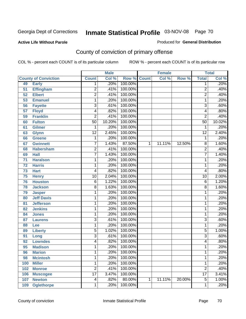#### **Active Life Without Parole**

#### Produced for **General Distribution**

# County of conviction of primary offense

|                 |                             |                 | <b>Male</b> |         |              | <b>Female</b> |        |                 | <b>Total</b> |
|-----------------|-----------------------------|-----------------|-------------|---------|--------------|---------------|--------|-----------------|--------------|
|                 | <b>County of Conviction</b> | <b>Count</b>    | Col %       | Row %   | <b>Count</b> | Col %         | Row %  | <b>Total</b>    | Col %        |
| 49              | <b>Early</b>                | 1               | .20%        | 100.00% |              |               |        | 1               | .20%         |
| 51              | <b>Effingham</b>            | $\overline{2}$  | .41%        | 100.00% |              |               |        | $\overline{2}$  | .40%         |
| 52              | <b>Elbert</b>               | $\overline{2}$  | .41%        | 100.00% |              |               |        | $\overline{2}$  | .40%         |
| 53              | <b>Emanuel</b>              | 1               | .20%        | 100.00% |              |               |        | 1               | .20%         |
| 56              | <b>Fayette</b>              | 3               | .61%        | 100.00% |              |               |        | $\overline{3}$  | .60%         |
| $\overline{57}$ | <b>Floyd</b>                | 4               | .82%        | 100.00% |              |               |        | 4               | .80%         |
| 59              | <b>Franklin</b>             | $\overline{2}$  | .41%        | 100.00% |              |               |        | $\overline{2}$  | .40%         |
| 60              | <b>Fulton</b>               | $\overline{50}$ | 10.20%      | 100.00% |              |               |        | $\overline{50}$ | 10.02%       |
| 61              | <b>Gilmer</b>               | 1               | .20%        | 100.00% |              |               |        | 1               | .20%         |
| 63              | <b>Glynn</b>                | $\overline{12}$ | 2.45%       | 100.00% |              |               |        | $\overline{12}$ | 2.40%        |
| 66              | <b>Greene</b>               | 1               | .20%        | 100.00% |              |               |        | 1               | .20%         |
| 67              | <b>Gwinnett</b>             | $\overline{7}$  | 1.43%       | 87.50%  | 1            | 11.11%        | 12.50% | 8               | 1.60%        |
| 68              | <b>Habersham</b>            | 2               | .41%        | 100.00% |              |               |        | 2               | .40%         |
| 69              | <b>Hall</b>                 | $\overline{7}$  | 1.43%       | 100.00% |              |               |        | 7               | 1.40%        |
| $\overline{71}$ | <b>Haralson</b>             | 1               | .20%        | 100.00% |              |               |        | 1               | .20%         |
| 72              | <b>Harris</b>               | 1               | .20%        | 100.00% |              |               |        | 1               | .20%         |
| 73              | <b>Hart</b>                 | 4               | .82%        | 100.00% |              |               |        | 4               | .80%         |
| 75              | <b>Henry</b>                | $\overline{10}$ | 2.04%       | 100.00% |              |               |        | 10              | 2.00%        |
| 76              | <b>Houston</b>              | $\overline{6}$  | 1.22%       | 100.00% |              |               |        | 6               | 1.20%        |
| 78              | <b>Jackson</b>              | 8               | 1.63%       | 100.00% |              |               |        | 8               | 1.60%        |
| 79              | <b>Jasper</b>               | 1               | .20%        | 100.00% |              |               |        | 1               | .20%         |
| 80              | <b>Jeff Davis</b>           | 1               | .20%        | 100.00% |              |               |        | 1               | .20%         |
| 81              | <b>Jefferson</b>            | 1               | .20%        | 100.00% |              |               |        | 1               | .20%         |
| 82              | <b>Jenkins</b>              | 1               | .20%        | 100.00% |              |               |        | 1               | .20%         |
| 84              | <b>Jones</b>                | 1               | .20%        | 100.00% |              |               |        | 1               | .20%         |
| 87              | <b>Laurens</b>              | $\overline{3}$  | .61%        | 100.00% |              |               |        | $\overline{3}$  | .60%         |
| 88              | Lee                         | 1               | .20%        | 100.00% |              |               |        | $\mathbf{1}$    | .20%         |
| 89              | <b>Liberty</b>              | 5               | 1.02%       | 100.00% |              |               |        | $\overline{5}$  | 1.00%        |
| 91              | Long                        | 3               | .61%        | 100.00% |              |               |        | 3               | .60%         |
| 92              | <b>Lowndes</b>              | 4               | .82%        | 100.00% |              |               |        | 4               | .80%         |
| 95              | <b>Madison</b>              | 1               | .20%        | 100.00% |              |               |        | 1               | .20%         |
| 96              | <b>Marion</b>               | 1               | .20%        | 100.00% |              |               |        | 1               | .20%         |
| 98              | <b>Mcintosh</b>             | 1               | .20%        | 100.00% |              |               |        | 1               | .20%         |
| 100             | <b>Miller</b>               | 1               | .20%        | 100.00% |              |               |        | 1               | .20%         |
| 102             | <b>Monroe</b>               | $\overline{2}$  | .41%        | 100.00% |              |               |        | $\overline{2}$  | .40%         |
| 106             | <b>Muscogee</b>             | $\overline{17}$ | 3.47%       | 100.00% |              |               |        | $\overline{17}$ | 3.41%        |
| 107             | <b>Newton</b>               | 4               | .82%        | 80.00%  | 1            | 11.11%        | 20.00% | $\overline{5}$  | 1.00%        |
| 109             | <b>Oglethorpe</b>           | 1               | .20%        | 100.00% |              |               |        | 1               | .20%         |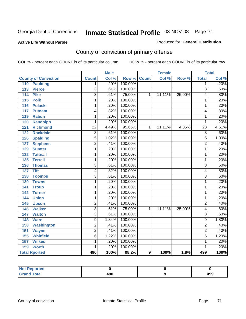#### **Active Life Without Parole**

#### Produced for **General Distribution**

# County of conviction of primary offense

|                                     |                 | <b>Male</b> |         |              | <b>Female</b> |        |                 | <b>Total</b> |
|-------------------------------------|-----------------|-------------|---------|--------------|---------------|--------|-----------------|--------------|
| <b>County of Conviction</b>         | <b>Count</b>    | Col %       | Row %   | <b>Count</b> | Col %         | Row %  | <b>Total</b>    | Col %        |
| <b>Paulding</b><br>110              | 1               | .20%        | 100.00% |              |               |        | 1               | .20%         |
| $\overline{113}$<br><b>Pierce</b>   | $\overline{3}$  | .61%        | 100.00% |              |               |        | $\overline{3}$  | .60%         |
| <b>Pike</b><br>114                  | 3               | .61%        | 75.00%  | 1            | 11.11%        | 25.00% | 4               | .80%         |
| <b>Polk</b><br>$\overline{115}$     | $\overline{1}$  | .20%        | 100.00% |              |               |        | 1               | .20%         |
| 116<br><b>Pulaski</b>               | 1               | .20%        | 100.00% |              |               |        | 1               | .20%         |
| 117<br><b>Putnam</b>                | 4               | .82%        | 100.00% |              |               |        | 4               | .80%         |
| 119<br><b>Rabun</b>                 | 1               | .20%        | 100.00% |              |               |        | 1               | .20%         |
| 120<br><b>Randolph</b>              | 1               | .20%        | 100.00% |              |               |        | 1               | .20%         |
| <b>Richmond</b><br>121              | $\overline{22}$ | 4.49%       | 95.65%  | 1            | 11.11%        | 4.35%  | $\overline{23}$ | 4.61%        |
| <b>Rockdale</b><br>122              | $\overline{3}$  | .61%        | 100.00% |              |               |        | $\overline{3}$  | .60%         |
| $\overline{126}$<br><b>Spalding</b> | $\overline{5}$  | 1.02%       | 100.00% |              |               |        | $\overline{5}$  | 1.00%        |
| <b>Stephens</b><br>127              | $\overline{2}$  | .41%        | 100.00% |              |               |        | $\overline{2}$  | .40%         |
| 129<br><b>Sumter</b>                | 1               | .20%        | 100.00% |              |               |        | 1               | .20%         |
| <b>Tattnall</b><br>132              | 1               | .20%        | 100.00% |              |               |        | 1               | .20%         |
| <b>Terrell</b><br>$135$             | 1               | .20%        | 100.00% |              |               |        | 1               | .20%         |
| 136<br><b>Thomas</b>                | $\overline{3}$  | .61%        | 100.00% |              |               |        | $\overline{3}$  | .60%         |
| $\overline{137}$<br><b>Tift</b>     | 4               | .82%        | 100.00% |              |               |        | 4               | .80%         |
| <b>Toombs</b><br>$138$              | $\overline{3}$  | .61%        | 100.00% |              |               |        | $\overline{3}$  | .60%         |
| <b>Towns</b><br>139                 | $\overline{1}$  | .20%        | 100.00% |              |               |        | $\overline{1}$  | .20%         |
| 141<br><b>Troup</b>                 | 1               | .20%        | 100.00% |              |               |        | 1               | .20%         |
| 142<br><b>Turner</b>                | 1               | .20%        | 100.00% |              |               |        | 1               | .20%         |
| <b>Union</b><br>144                 | 1               | .20%        | 100.00% |              |               |        | 1               | .20%         |
| 145<br><b>Upson</b>                 | $\overline{2}$  | .41%        | 100.00% |              |               |        | $\overline{2}$  | .40%         |
| <b>Walker</b><br>146                | $\overline{3}$  | .61%        | 75.00%  | 1            | 11.11%        | 25.00% | 4               | .80%         |
| <b>Walton</b><br>147                | $\overline{3}$  | .61%        | 100.00% |              |               |        | 3               | .60%         |
| 148<br><b>Ware</b>                  | $\overline{9}$  | 1.84%       | 100.00% |              |               |        | $\overline{9}$  | 1.80%        |
| 150<br><b>Washington</b>            | $\overline{2}$  | .41%        | 100.00% |              |               |        | $\overline{2}$  | .40%         |
| 151<br><b>Wayne</b>                 | $\overline{2}$  | .41%        | 100.00% |              |               |        | $\overline{2}$  | .40%         |
| <b>Whitfield</b><br>155             | $\overline{6}$  | 1.22%       | 100.00% |              |               |        | $\overline{6}$  | 1.20%        |
| <b>Wilkes</b><br>157                | 1               | .20%        | 100.00% |              |               |        | 1               | .20%         |
| 159<br><b>Worth</b>                 | 1               | .20%        | 100.00% |              |               |        | 1               | .20%         |
| <b>Total Rported</b>                | 490             | 100%        | 98.2%   | 9            | 100%          | 1.8%   | 499             | 100%         |

| ported<br><b>Not</b> |            |            |
|----------------------|------------|------------|
| <b>Grand Total</b>   | חחו<br>7JV | 400<br>499 |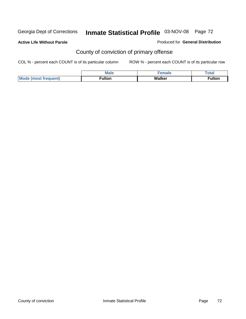**Active Life Without Parole** 

Produced for **General Distribution**

# County of conviction of primary offense

|                             | <b>Male</b> | emale  | $\tau$ otar |
|-----------------------------|-------------|--------|-------------|
| <b>Mode (most frequent)</b> | ™ulton      | Walker | ≂ulton      |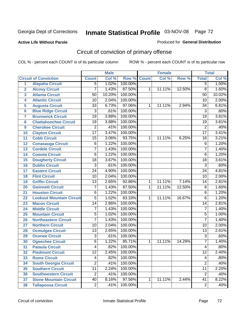### **Active Life Without Parole**

#### Produced for **General Distribution**

# Circuit of conviction of primary offense

|                         |                                 |                 | <b>Male</b> |         |              | <b>Female</b> |        |                 | <b>Total</b> |
|-------------------------|---------------------------------|-----------------|-------------|---------|--------------|---------------|--------|-----------------|--------------|
|                         | <b>Circuit of Conviction</b>    | <b>Count</b>    | Col %       | Row %   | <b>Count</b> | Col %         | Row %  | <b>Total</b>    | Col %        |
| 1                       | <b>Alapaha Circuit</b>          | $\overline{5}$  | 1.02%       | 100.00% |              |               |        | 5               | 1.00%        |
| $\overline{2}$          | <b>Alcovy Circuit</b>           | 7               | 1.43%       | 87.50%  | 1            | 11.11%        | 12.50% | $\overline{8}$  | 1.60%        |
| $\overline{\mathbf{3}}$ | <b>Atlanta Circuit</b>          | 50              | 10.20%      | 100.00% |              |               |        | 50              | 10.02%       |
| 4                       | <b>Atlantic Circuit</b>         | $\overline{10}$ | 2.04%       | 100.00% |              |               |        | 10              | 2.00%        |
| 5                       | <b>Augusta Circuit</b>          | $\overline{33}$ | 6.73%       | 97.06%  | 1            | 11.11%        | 2.94%  | 34              | 6.81%        |
| $6\phantom{a}$          | <b>Blue Ridge Circuit</b>       | $\overline{3}$  | .61%        | 100.00% |              |               |        | $\overline{3}$  | .60%         |
| $\overline{\mathbf{7}}$ | <b>Brunswick Circuit</b>        | $\overline{19}$ | 3.88%       | 100.00% |              |               |        | $\overline{19}$ | 3.81%        |
| 8                       | <b>Chattahoochee Circuit</b>    | $\overline{19}$ | 3.88%       | 100.00% |              |               |        | $\overline{19}$ | 3.81%        |
| 9                       | <b>Cherokee Circuit</b>         | $\overline{2}$  | .41%        | 100.00% |              |               |        | $\overline{2}$  | .40%         |
| 10                      | <b>Clayton Circuit</b>          | $\overline{17}$ | 3.47%       | 100.00% |              |               |        | $\overline{17}$ | 3.41%        |
| 11                      | <b>Cobb Circuit</b>             | $\overline{15}$ | 3.06%       | 93.75%  | 1            | 11.11%        | 6.25%  | 16              | 3.21%        |
| 12                      | <b>Conasauga Circuit</b>        | 6               | 1.22%       | 100.00% |              |               |        | $\overline{6}$  | 1.20%        |
| 13                      | <b>Cordele Circuit</b>          | 7               | 1.43%       | 100.00% |              |               |        | $\overline{7}$  | 1.40%        |
| 14                      | <b>Coweta Circuit</b>           | $\overline{6}$  | 1.22%       | 100.00% |              |               |        | 6               | 1.20%        |
| 15                      | <b>Dougherty Circuit</b>        | $\overline{18}$ | 3.67%       | 100.00% |              |               |        | $\overline{18}$ | 3.61%        |
| 16                      | <b>Dublin Circuit</b>           | $\overline{3}$  | .61%        | 100.00% |              |               |        | $\overline{3}$  | .60%         |
| 17                      | <b>Eastern Circuit</b>          | $\overline{24}$ | 4.90%       | 100.00% |              |               |        | 24              | 4.81%        |
| 18                      | <b>Flint Circuit</b>            | $\overline{10}$ | 2.04%       | 100.00% |              |               |        | 10              | 2.00%        |
| 19                      | <b>Griffin Circuit</b>          | $\overline{13}$ | 2.65%       | 92.86%  | $\mathbf{1}$ | 11.11%        | 7.14%  | 14              | 2.81%        |
| 20                      | <b>Gwinnett Circuit</b>         | $\overline{7}$  | 1.43%       | 87.50%  | 1            | 11.11%        | 12.50% | 8               | 1.60%        |
| 21                      | <b>Houston Circuit</b>          | 6               | 1.22%       | 100.00% |              |               |        | $\overline{6}$  | 1.20%        |
| 22                      | <b>Lookout Mountain Circuit</b> | $\overline{5}$  | 1.02%       | 83.33%  | 1            | 11.11%        | 16.67% | 6               | 1.20%        |
| 23                      | <b>Macon Circuit</b>            | 14              | 2.86%       | 100.00% |              |               |        | 14              | 2.81%        |
| 24                      | <b>Middle Circuit</b>           | 7               | 1.43%       | 100.00% |              |               |        | $\overline{7}$  | 1.40%        |
| 25                      | <b>Mountain Circuit</b>         | 5               | 1.02%       | 100.00% |              |               |        | 5               | 1.00%        |
| 26                      | <b>Northeastern Circuit</b>     | 7               | 1.43%       | 100.00% |              |               |        | $\overline{7}$  | 1.40%        |
| 27                      | <b>Northern Circuit</b>         | $\overline{10}$ | 2.04%       | 100.00% |              |               |        | 10              | 2.00%        |
| 28                      | <b>Ocmulgee Circuit</b>         | $\overline{13}$ | 2.65%       | 100.00% |              |               |        | $\overline{13}$ | 2.61%        |
| 29                      | <b>Oconee Circuit</b>           | $\overline{3}$  | .61%        | 100.00% |              |               |        | $\overline{3}$  | .60%         |
| 30                      | <b>Ogeechee Circuit</b>         | $\overline{6}$  | 1.22%       | 85.71%  | 1            | 11.11%        | 14.29% | $\overline{7}$  | 1.40%        |
| $\overline{31}$         | <b>Pataula Circuit</b>          | 4               | .82%        | 100.00% |              |               |        | 4               | .80%         |
| 32                      | <b>Piedmont Circuit</b>         | 12              | 2.45%       | 100.00% |              |               |        | 12              | 2.40%        |
| 33                      | <b>Rome Circuit</b>             | 4               | .82%        | 100.00% |              |               |        | 4               | .80%         |
| 34                      | <b>South Georgia Circuit</b>    | $\overline{2}$  | .41%        | 100.00% |              |               |        | $\overline{2}$  | .40%         |
| 35                      | <b>Southern Circuit</b>         | $\overline{11}$ | 2.24%       | 100.00% |              |               |        | $\overline{11}$ | 2.20%        |
| 36                      | <b>Southwestern Circuit</b>     | $\overline{2}$  | .41%        | 100.00% |              |               |        | $\overline{2}$  | .40%         |
| 37                      | <b>Stone Mountain Circuit</b>   | 40              | 8.16%       | 97.56%  | 1            | 11.11%        | 2.44%  | $\overline{41}$ | 8.22%        |
| 38                      | <b>Tallapoosa Circuit</b>       | $\overline{2}$  | .41%        | 100.00% |              |               |        | $\overline{2}$  | .40%         |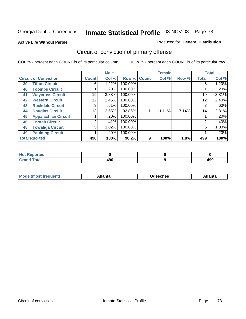#### **Active Life Without Parole**

#### Produced for **General Distribution**

# Circuit of conviction of primary offense

|                              |                            |                | <b>Male</b> |             |   | <b>Female</b> |       |              | <b>Total</b> |
|------------------------------|----------------------------|----------------|-------------|-------------|---|---------------|-------|--------------|--------------|
| <b>Circuit of Conviction</b> |                            | <b>Count</b>   | Col %       | Row % Count |   | Col %         | Row % | <b>Total</b> | Col %        |
| 39                           | <b>Tifton Circuit</b>      | 6              | $1.22\%$    | 100.00%     |   |               |       | 6            | 1.20%        |
| 40                           | <b>Toombs Circuit</b>      |                | .20%        | 100.00%     |   |               |       |              | .20%         |
| 41                           | <b>Waycross Circuit</b>    | 19             | 3.88%       | 100.00%     |   |               |       | 19           | 3.81%        |
| 42                           | <b>Western Circuit</b>     | 12             | 2.45%       | 100.00%     |   |               |       | 12           | 2.40%        |
| 43                           | <b>Rockdale Circuit</b>    | 3              | .61%        | 100.00%     |   |               |       | 3            | .60%         |
| 44                           | <b>Douglas Circuit</b>     | 13             | 2.65%       | 92.86%      |   | 11.11%        | 7.14% | 14           | 2.81%        |
| 45                           | <b>Appalachian Circuit</b> |                | .20%        | 100.00%     |   |               |       |              | .20%         |
| 46                           | <b>Enotah Circuit</b>      | $\overline{2}$ | .41%        | 100.00%     |   |               |       | 2            | .40%         |
| 48                           | <b>Towaliga Circuit</b>    | 5              | 1.02%       | 100.00%     |   |               |       | 5            | 1.00%        |
| 49                           | <b>Paulding Circuit</b>    |                | .20%        | 100.00%     |   |               |       | ◢            | .20%         |
| <b>Total Rported</b>         |                            | 490            | 100%        | 98.2%       | 9 | 100%          | 1.8%  | 499          | 100%         |

| -4 - -<br>тео |                   |                    |
|---------------|-------------------|--------------------|
| otal          | 10 C<br>4JU<br>__ | 10C<br>493<br>$ -$ |

| <b>Mo</b><br>$\blacksquare$<br>'rer<br>ו ואח | .tlantə | Jaeechee | \tlanta |
|----------------------------------------------|---------|----------|---------|
|----------------------------------------------|---------|----------|---------|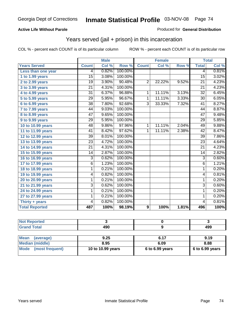### **Active Life Without Parole**

#### Produced for **General Distribution**

## Years served (jail + prison) in this incarceration

|                       |                 | <b>Male</b> |         | <b>Female</b>  |        |       | <b>Total</b>    |       |
|-----------------------|-----------------|-------------|---------|----------------|--------|-------|-----------------|-------|
| <b>Years Served</b>   | <b>Count</b>    | Col %       | Row %   | <b>Count</b>   | Col %  | Row % | <b>Total</b>    | Col % |
| Less than one year    | 4               | 0.82%       | 100.00% |                |        |       | 4               | 0.81% |
| 1 to 1.99 years       | 15              | 3.08%       | 100.00% |                |        |       | $\overline{15}$ | 3.02% |
| 2 to 2.99 years       | 19              | 3.90%       | 90.48%  | $\overline{2}$ | 22.22% | 9.52% | 21              | 4.23% |
| 3 to 3.99 years       | $\overline{21}$ | 4.31%       | 100.00% |                |        |       | $\overline{21}$ | 4.23% |
| 4 to 4.99 years       | $\overline{31}$ | 6.37%       | 96.88%  | 1              | 11.11% | 3.13% | $\overline{32}$ | 6.45% |
| 5 to 5.99 years       | 29              | 5.95%       | 96.67%  | 1              | 11.11% | 3.33% | 30              | 6.05% |
| 6 to 6.99 years       | $\overline{38}$ | 7.80%       | 92.68%  | $\overline{3}$ | 33.33% | 7.32% | 41              | 8.27% |
| 7 to 7.99 years       | 44              | 9.03%       | 100.00% |                |        |       | 44              | 8.87% |
| 8 to 8.99 years       | 47              | 9.65%       | 100.00% |                |        |       | 47              | 9.48% |
| 9 to 9.99 years       | $\overline{29}$ | 5.95%       | 100.00% |                |        |       | $\overline{29}$ | 5.85% |
| 10 to 10.99 years     | 48              | 9.86%       | 97.96%  | 1              | 11.11% | 2.04% | 49              | 9.88% |
| 11 to 11.99 years     | 41              | 8.42%       | 97.62%  | 1              | 11.11% | 2.38% | 42              | 8.47% |
| 12 to 12.99 years     | $\overline{39}$ | 8.01%       | 100.00% |                |        |       | $\overline{39}$ | 7.86% |
| 13 to 13.99 years     | $\overline{23}$ | 4.72%       | 100.00% |                |        |       | $\overline{23}$ | 4.64% |
| 14 to 14.99 years     | 21              | 4.31%       | 100.00% |                |        |       | 21              | 4.23% |
| 15 to 15.99 years     | 14              | 2.87%       | 100.00% |                |        |       | 14              | 2.82% |
| 16 to 16.99 years     | $\overline{3}$  | 0.62%       | 100.00% |                |        |       | $\overline{3}$  | 0.60% |
| 17 to 17.99 years     | 6               | 1.23%       | 100.00% |                |        |       | $\overline{6}$  | 1.21% |
| 18 to 18.99 years     | 1               | 0.21%       | 100.00% |                |        |       | 1               | 0.20% |
| 19 to 19.99 years     | 4               | 0.82%       | 100.00% |                |        |       | 4               | 0.81% |
| 20 to 20.99 years     | 1               | 0.21%       | 100.00% |                |        |       | 1               | 0.20% |
| 21 to 21.99 years     | 3               | 0.62%       | 100.00% |                |        |       | 3               | 0.60% |
| 24 to 24.99 years     | 1               | 0.21%       | 100.00% |                |        |       | 1               | 0.20% |
| 27 to 27.99 years     | 1               | 0.21%       | 100.00% |                |        |       | 1               | 0.20% |
| Thirty + years        | 4               | 0.82%       | 100.00% |                |        |       | 4               | 0.81% |
| <b>Total Reported</b> | 487             | 100%        | 98.19%  | 9              | 100%   | 1.81% | 496             | 100%  |

| <b>Not Reported</b>            |                   |                 |                 |
|--------------------------------|-------------------|-----------------|-----------------|
| <b>Grand Total</b>             | 490               |                 | 499             |
|                                |                   |                 |                 |
| <b>Mean</b><br>(average)       | 9.25              | 6.17            | 9.19            |
| <b>Median (middle)</b>         | 8.95              | 6.09            | 8.88            |
| <b>Mode</b><br>(most frequent) | 10 to 10.99 years | 6 to 6.99 years | 6 to 6.99 years |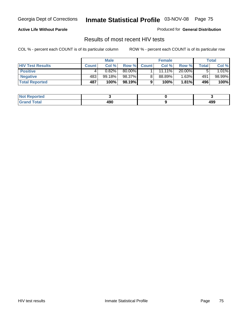### **Active Life Without Parole**

Produced for **General Distribution**

## Results of most recent HIV tests

|                         |              | <b>Male</b> |        |              | <b>Female</b> |          |       | Total    |
|-------------------------|--------------|-------------|--------|--------------|---------------|----------|-------|----------|
| <b>HIV Test Results</b> | <b>Count</b> | Col %       | Row %  | <b>Count</b> | Col %         | Row %    | Total | Col %    |
| <b>Positive</b>         |              | 0.82%       | 80.00% |              | 11.11%        | 20.00%   |       | $1.01\%$ |
| <b>Negative</b>         | 483          | 99.18%      | 98.37% |              | 88.89%        | $1.63\%$ | 491   | 98.99%   |
| <b>Total Reported</b>   | 487          | 100%        | 98.19% |              | 100%          | $1.81\%$ | 496   | 100%     |

| <b>Not Reported</b> |     |            |
|---------------------|-----|------------|
| <b>Grand Total</b>  | 490 | 10C<br>493 |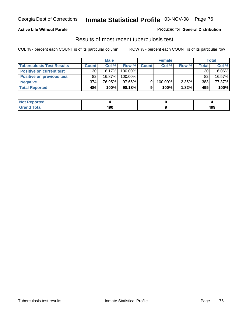### **Active Life Without Parole**

#### Produced for **General Distribution**

## Results of most recent tuberculosis test

|                                  |                 | <b>Male</b> |           |              | <b>Female</b> |       |       | Total    |
|----------------------------------|-----------------|-------------|-----------|--------------|---------------|-------|-------|----------|
| <b>Tuberculosis Test Results</b> | <b>Count</b>    | Col%        | Row %     | <b>Count</b> | Col%          | Row % | Total | Col %    |
| <b>Positive on current test</b>  | 30 <sup>1</sup> | $6.17\%$    | 100.00%   |              |               |       | 30    | $6.06\%$ |
| <b>Positive on previous test</b> | 82              | 16.87%      | 100.00%   |              |               |       | 82    | 16.57%   |
| <b>Negative</b>                  | 374             | 76.95%      | $97.65\%$ | 9            | 100.00%       | 2.35% | 383   | 77.37%   |
| <b>Total Reported</b>            | 486             | 100%        | 98.18%    |              | 100%          | 1.82% | 495   | 100%     |

| <b>Not</b><br><b>Reported</b> |     |     |
|-------------------------------|-----|-----|
| <b>Total</b>                  | 490 | 499 |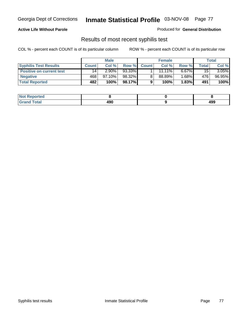## **Active Life Without Parole**

Produced for **General Distribution**

## Results of most recent syphilis test

|                                 |              | <b>Male</b> |        |              | <b>Female</b> |          |       | Total    |
|---------------------------------|--------------|-------------|--------|--------------|---------------|----------|-------|----------|
| <b>Syphilis Test Results</b>    | <b>Count</b> | Col %       | Row %  | <b>Count</b> | Col %         | Row %    | Total | Col %    |
| <b>Positive on current test</b> | 14           | $2.90\%$    | 93.33% |              | $11.11\%$     | $6.67\%$ | 15    | $3.05\%$ |
| <b>Negative</b>                 | 468          | $97.10\%$   | 98.32% |              | 88.89%        | $1.68\%$ | 476   | 96.95%   |
| <b>Total Reported</b>           | 482          | 100%        | 98.17% |              | 100%          | $1.83\%$ | 491   | 100%     |

| <b>Not Reported</b> |     |            |
|---------------------|-----|------------|
| <b>Grand Total</b>  | 490 | ៱ດດ<br>433 |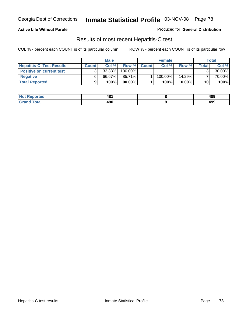## **Active Life Without Parole**

Produced for **General Distribution**

## Results of most recent Hepatitis-C test

|                                 |              | <b>Male</b> |           |              | <b>Female</b> |           |       | Total  |
|---------------------------------|--------------|-------------|-----------|--------------|---------------|-----------|-------|--------|
| <b>Hepatitis-C Test Results</b> | <b>Count</b> | Col %       | Row %     | <b>Count</b> | Col %         | Row %     | Total | Col %  |
| <b>Positive on current test</b> |              | 33.33%      | 100.00%   |              |               |           |       | 30.00% |
| <b>Negative</b>                 |              | 66.67%      | 85.71%    |              | 100.00%       | $14.29\%$ |       | 70.00% |
| <b>Total Reported</b>           |              | 100%        | $90.00\%$ |              | 100%          | $10.00\%$ | 10    | 100%   |

| <b>Not Reported</b> | 481 | 489 |
|---------------------|-----|-----|
| <b>Grand Total</b>  | 490 | 499 |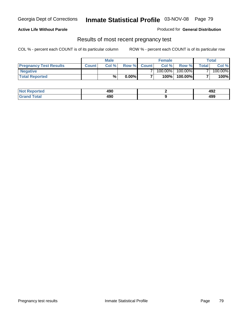## **Active Life Without Parole**

Produced for **General Distribution**

## Results of most recent pregnancy test

|                               | <b>Male</b>  |      |          | <b>Female</b>  |            |         | <b>Total</b>   |         |
|-------------------------------|--------------|------|----------|----------------|------------|---------|----------------|---------|
| <b>Pregnancy Test Results</b> | <b>Count</b> | Col% | Row %    | <b>Count</b> Ⅰ | Col %      | Row %   | <b>Total</b> I | Col %   |
| <b>Negative</b>               |              |      |          |                | $100.00\%$ | 100.00% |                | 100.00% |
| <b>Total Reported</b>         |              | %    | $0.00\%$ |                | 100%       | 100.00% |                | 100%    |

| <b>Not Reported</b> | 490 | 492 |
|---------------------|-----|-----|
| <b>Grand Total</b>  | 490 | 499 |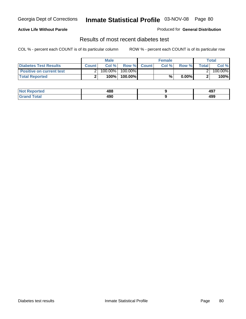## **Active Life Without Parole**

#### Produced for **General Distribution**

## Results of most recent diabetes test

|                                 |              | <b>Male</b> |            |             | <b>Female</b> |          |              | Total   |
|---------------------------------|--------------|-------------|------------|-------------|---------------|----------|--------------|---------|
| <b>Diabetes Test Results</b>    | <b>Count</b> | Col %       |            | Row % Count | Col%          | Row %    | <b>Total</b> | Col %   |
| <b>Positive on current test</b> |              | 100.00%     | $100.00\%$ |             |               |          |              | 100.00% |
| <b>Total Reported</b>           |              | 100%        | 100.00%    |             | %             | $0.00\%$ |              | 100%    |

| ?eported     | 488<br>__ | 107<br>731 |
|--------------|-----------|------------|
| <b>Total</b> | 490       | 10C<br>433 |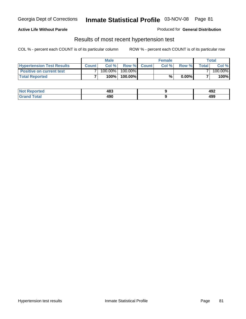## **Active Life Without Parole**

#### Produced for **General Distribution**

## Results of most recent hypertension test

|                                  | <b>Male</b>  |         |            | <b>Female</b> |      |          | <b>Total</b> |         |
|----------------------------------|--------------|---------|------------|---------------|------|----------|--------------|---------|
| <b>Hypertension Test Results</b> | <b>Count</b> | Col %   |            | Row % Count   | Col% | Row %    | Totall       | Col %   |
| <b>Positive on current test</b>  |              | 100.00% | $100.00\%$ |               |      |          |              | 100.00% |
| <b>Total Reported</b>            |              | 100%    | 100.00%    |               | %    | $0.00\%$ |              | 100%    |

| Reported<br><b>NOT</b> | 483 | 492 |
|------------------------|-----|-----|
| <b>Total</b><br>____   | 490 | 499 |